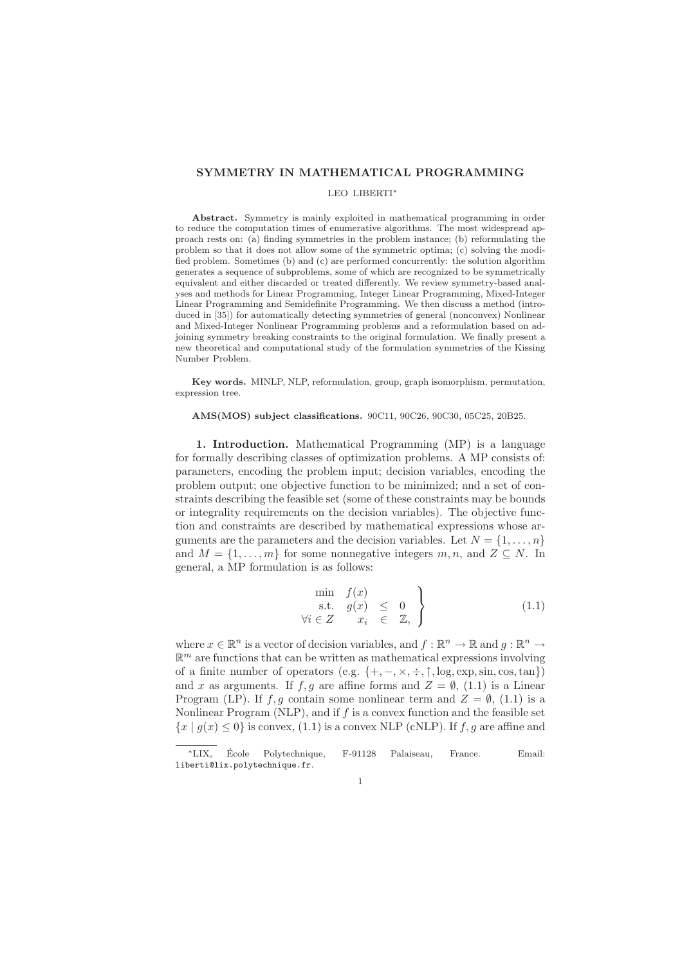# SYMMETRY IN MATHEMATICAL PROGRAMMING

### LEO LIBERTI<sup>∗</sup>

Abstract. Symmetry is mainly exploited in mathematical programming in order to reduce the computation times of enumerative algorithms. The most widespread approach rests on: (a) finding symmetries in the problem instance; (b) reformulating the problem so that it does not allow some of the symmetric optima; (c) solving the modified problem. Sometimes (b) and (c) are performed concurrently: the solution algorithm generates a sequence of subproblems, some of which are recognized to be symmetrically equivalent and either discarded or treated differently. We review symmetry-based analyses and methods for Linear Programming, Integer Linear Programming, Mixed-Integer Linear Programming and Semidefinite Programming. We then discuss a method (introduced in [35]) for automatically detecting symmetries of general (nonconvex) Nonlinear and Mixed-Integer Nonlinear Programming problems and a reformulation based on adjoining symmetry breaking constraints to the original formulation. We finally present a new theoretical and computational study of the formulation symmetries of the Kissing Number Problem.

Key words. MINLP, NLP, reformulation, group, graph isomorphism, permutation, expression tree.

#### AMS(MOS) subject classifications. 90C11, 90C26, 90C30, 05C25, 20B25.

1. Introduction. Mathematical Programming (MP) is a language for formally describing classes of optimization problems. A MP consists of: parameters, encoding the problem input; decision variables, encoding the problem output; one objective function to be minimized; and a set of constraints describing the feasible set (some of these constraints may be bounds or integrality requirements on the decision variables). The objective function and constraints are described by mathematical expressions whose arguments are the parameters and the decision variables. Let  $N = \{1, \ldots, n\}$ and  $M = \{1, \ldots, m\}$  for some nonnegative integers  $m, n$ , and  $Z \subseteq N$ . In general, a MP formulation is as follows:

$$
\begin{array}{rcl}\n\min & f(x) \\
\text{s.t.} & g(x) & \leq & 0 \\
\forall i \in Z & x_i & \in & \mathbb{Z},\n\end{array}
$$
\n(1.1)

where  $x \in \mathbb{R}^n$  is a vector of decision variables, and  $f : \mathbb{R}^n \to \mathbb{R}$  and  $g : \mathbb{R}^n \to$  $\mathbb{R}^m$  are functions that can be written as mathematical expressions involving of a finite number of operators (e.g.  $\{+, -, \times, \div, \uparrow, \log, \exp, \sin, \cos, \tan\})$ and x as arguments. If f, g are affine forms and  $Z = \emptyset$ , (1.1) is a Linear Program (LP). If f, g contain some nonlinear term and  $Z = \emptyset$ , (1.1) is a Nonlinear Program  $(NLP)$ , and if f is a convex function and the feasible set  ${x | g(x) \le 0}$  is convex, (1.1) is a convex NLP (cNLP). If f, g are affine and

<sup>∗</sup>LIX, Ecole Polytechnique, F-91128 Palaiseau, France. Email: ´ liberti@lix.polytechnique.fr.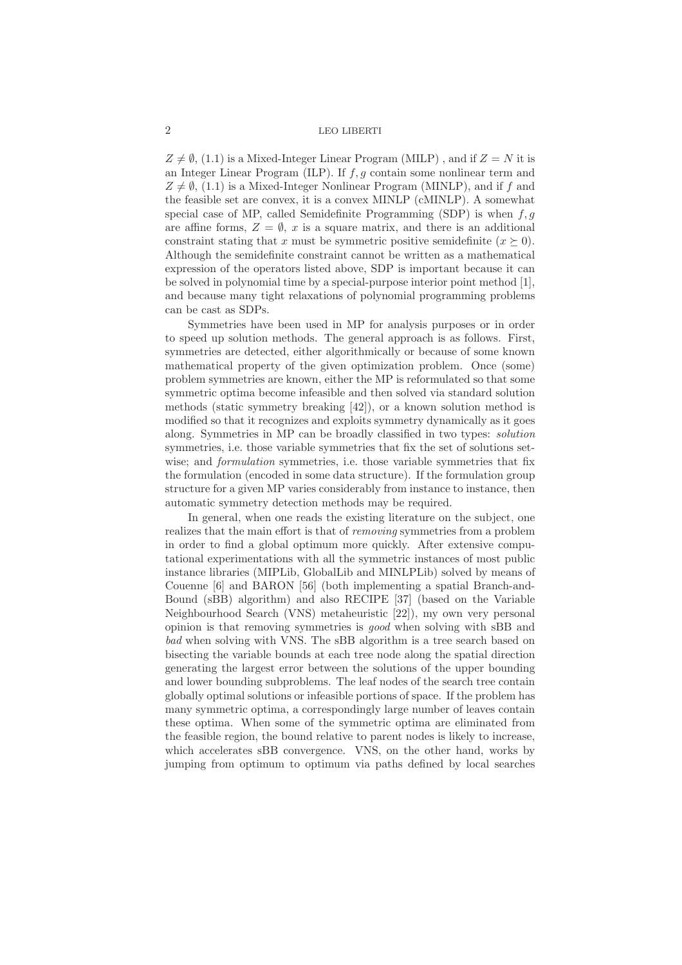$Z \neq \emptyset$ , (1.1) is a Mixed-Integer Linear Program (MILP), and if  $Z = N$  it is an Integer Linear Program (ILP). If  $f, q$  contain some nonlinear term and  $Z \neq \emptyset$ , (1.1) is a Mixed-Integer Nonlinear Program (MINLP), and if f and the feasible set are convex, it is a convex MINLP (cMINLP). A somewhat special case of MP, called Semidefinite Programming (SDP) is when  $f,g$ are affine forms,  $Z = \emptyset$ , x is a square matrix, and there is an additional constraint stating that x must be symmetric positive semidefinite  $(x \succeq 0)$ . Although the semidefinite constraint cannot be written as a mathematical expression of the operators listed above, SDP is important because it can be solved in polynomial time by a special-purpose interior point method [1], and because many tight relaxations of polynomial programming problems can be cast as SDPs.

Symmetries have been used in MP for analysis purposes or in order to speed up solution methods. The general approach is as follows. First, symmetries are detected, either algorithmically or because of some known mathematical property of the given optimization problem. Once (some) problem symmetries are known, either the MP is reformulated so that some symmetric optima become infeasible and then solved via standard solution methods (static symmetry breaking [42]), or a known solution method is modified so that it recognizes and exploits symmetry dynamically as it goes along. Symmetries in MP can be broadly classified in two types: *solution* symmetries, i.e. those variable symmetries that fix the set of solutions setwise; and *formulation* symmetries, i.e. those variable symmetries that fix the formulation (encoded in some data structure). If the formulation group structure for a given MP varies considerably from instance to instance, then automatic symmetry detection methods may be required.

In general, when one reads the existing literature on the subject, one realizes that the main effort is that of *removing* symmetries from a problem in order to find a global optimum more quickly. After extensive computational experimentations with all the symmetric instances of most public instance libraries (MIPLib, GlobalLib and MINLPLib) solved by means of Couenne [6] and BARON [56] (both implementing a spatial Branch-and-Bound (sBB) algorithm) and also RECIPE [37] (based on the Variable Neighbourhood Search (VNS) metaheuristic [22]), my own very personal opinion is that removing symmetries is *good* when solving with sBB and *bad* when solving with VNS. The sBB algorithm is a tree search based on bisecting the variable bounds at each tree node along the spatial direction generating the largest error between the solutions of the upper bounding and lower bounding subproblems. The leaf nodes of the search tree contain globally optimal solutions or infeasible portions of space. If the problem has many symmetric optima, a correspondingly large number of leaves contain these optima. When some of the symmetric optima are eliminated from the feasible region, the bound relative to parent nodes is likely to increase, which accelerates sBB convergence. VNS, on the other hand, works by jumping from optimum to optimum via paths defined by local searches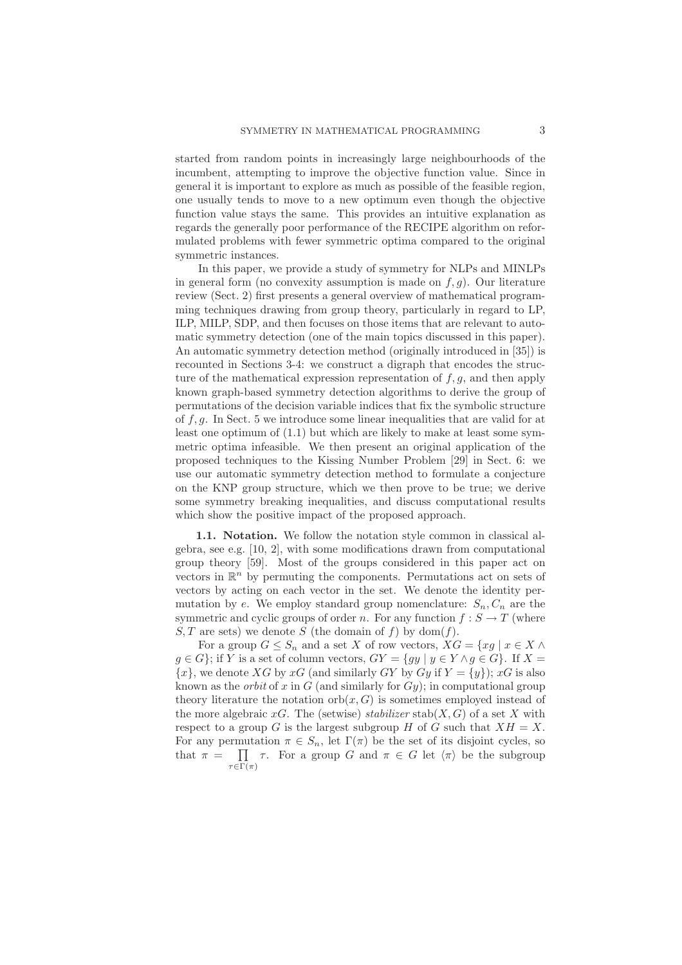started from random points in increasingly large neighbourhoods of the incumbent, attempting to improve the objective function value. Since in general it is important to explore as much as possible of the feasible region, one usually tends to move to a new optimum even though the objective function value stays the same. This provides an intuitive explanation as regards the generally poor performance of the RECIPE algorithm on reformulated problems with fewer symmetric optima compared to the original symmetric instances.

In this paper, we provide a study of symmetry for NLPs and MINLPs in general form (no convexity assumption is made on  $f, g$ ). Our literature review (Sect. 2) first presents a general overview of mathematical programming techniques drawing from group theory, particularly in regard to LP, ILP, MILP, SDP, and then focuses on those items that are relevant to automatic symmetry detection (one of the main topics discussed in this paper). An automatic symmetry detection method (originally introduced in [35]) is recounted in Sections 3-4: we construct a digraph that encodes the structure of the mathematical expression representation of  $f, g$ , and then apply known graph-based symmetry detection algorithms to derive the group of permutations of the decision variable indices that fix the symbolic structure of  $f, g$ . In Sect. 5 we introduce some linear inequalities that are valid for at least one optimum of (1.1) but which are likely to make at least some symmetric optima infeasible. We then present an original application of the proposed techniques to the Kissing Number Problem [29] in Sect. 6: we use our automatic symmetry detection method to formulate a conjecture on the KNP group structure, which we then prove to be true; we derive some symmetry breaking inequalities, and discuss computational results which show the positive impact of the proposed approach.

1.1. Notation. We follow the notation style common in classical algebra, see e.g. [10, 2], with some modifications drawn from computational group theory [59]. Most of the groups considered in this paper act on vectors in  $\mathbb{R}^n$  by permuting the components. Permutations act on sets of vectors by acting on each vector in the set. We denote the identity permutation by e. We employ standard group nomenclature:  $S_n, C_n$  are the symmetric and cyclic groups of order n. For any function  $f : S \to T$  (where  $S, T$  are sets) we denote S (the domain of f) by dom(f).

For a group  $G \leq S_n$  and a set X of row vectors,  $XG = \{xg \mid x \in X \land \}$  $g \in G$ ; if Y is a set of column vectors,  $GY = \{ gy \mid y \in Y \land g \in G \}$ . If  $X =$  ${x}$ , we denote XG by xG (and similarly GY by Gy if  $Y = {y}$ ); xG is also known as the *orbit* of x in  $G$  (and similarly for  $Gy$ ); in computational group theory literature the notation orb $(x, G)$  is sometimes employed instead of the more algebraic  $xG$ . The (setwise) *stabilizer* stab( $X, G$ ) of a set X with respect to a group G is the largest subgroup H of G such that  $XH = X$ . For any permutation  $\pi \in S_n$ , let  $\Gamma(\pi)$  be the set of its disjoint cycles, so that  $\pi = \prod$  $\tau \in \Gamma(\pi)$ τ. For a group G and  $\pi \in G$  let  $\langle \pi \rangle$  be the subgroup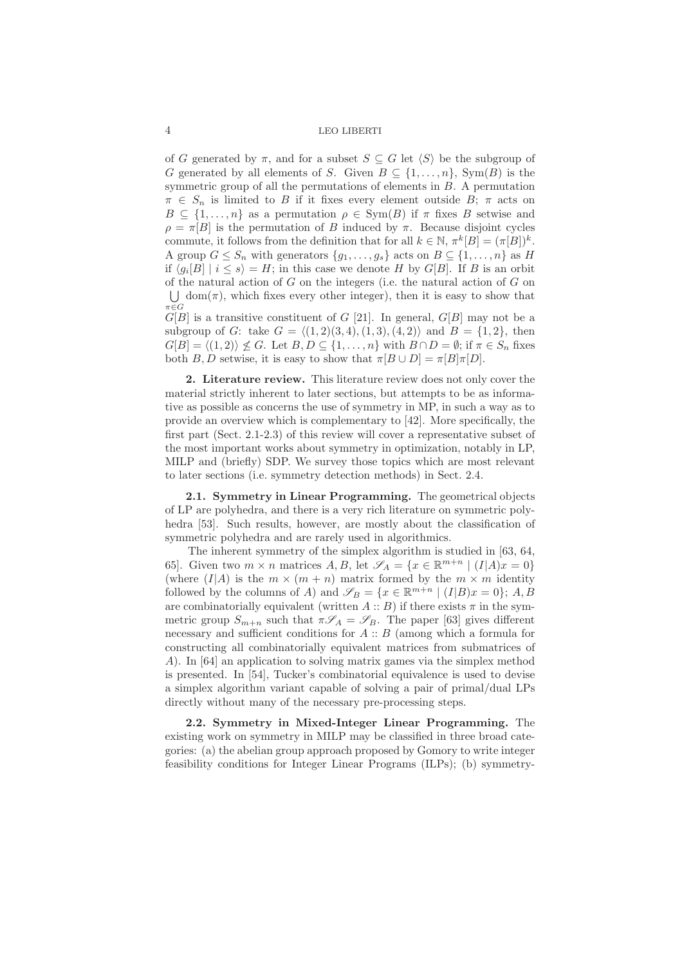of G generated by  $\pi$ , and for a subset  $S \subseteq G$  let  $\langle S \rangle$  be the subgroup of G generated by all elements of S. Given  $B \subseteq \{1,\ldots,n\}$ , Sym(B) is the symmetric group of all the permutations of elements in  $B$ . A permutation  $\pi \in S_n$  is limited to B if it fixes every element outside B;  $\pi$  acts on  $B \subseteq \{1,\ldots,n\}$  as a permutation  $\rho \in \text{Sym}(B)$  if  $\pi$  fixes B setwise and  $\rho = \pi[B]$  is the permutation of B induced by  $\pi$ . Because disjoint cycles commute, it follows from the definition that for all  $k \in \mathbb{N}$ ,  $\pi^{k}[B] = (\pi[B])^{k}$ . A group  $G \leq S_n$  with generators  $\{g_1, \ldots, g_s\}$  acts on  $B \subseteq \{1, \ldots, n\}$  as H if  $\langle g_i[B] | i \leq s \rangle = H$ ; in this case we denote H by  $G[B]$ . If B is an orbit of the natural action of  $G$  on the integers (i.e. the natural action of  $G$  on  $\bigcup$  dom( $\pi$ ), which fixes every other integer), then it is easy to show that  $G[E]$  is a transitive constituent of G [21]. In general,  $G[B]$  may not be a subgroup of G: take  $G = \langle (1, 2)(3, 4), (1, 3), (4, 2) \rangle$  and  $B = \{1, 2\}$ , then  $G[B] = \langle (1, 2) \rangle \nleq G$ . Let  $B, D \subseteq \{1, \ldots, n\}$  with  $B \cap D = \emptyset$ ; if  $\pi \in S_n$  fixes

both B, D setwise, it is easy to show that  $\pi[B \cup D] = \pi[B]\pi[D]$ . 2. Literature review. This literature review does not only cover the material strictly inherent to later sections, but attempts to be as informa-

tive as possible as concerns the use of symmetry in MP, in such a way as to provide an overview which is complementary to [42]. More specifically, the first part (Sect. 2.1-2.3) of this review will cover a representative subset of the most important works about symmetry in optimization, notably in LP, MILP and (briefly) SDP. We survey those topics which are most relevant to later sections (i.e. symmetry detection methods) in Sect. 2.4.

2.1. Symmetry in Linear Programming. The geometrical objects of LP are polyhedra, and there is a very rich literature on symmetric polyhedra [53]. Such results, however, are mostly about the classification of symmetric polyhedra and are rarely used in algorithmics.

The inherent symmetry of the simplex algorithm is studied in [63, 64, 65]. Given two  $m \times n$  matrices  $A, B$ , let  $\mathscr{S}_A = \{x \in \mathbb{R}^{m+n} \mid (I|A)x = 0\}$ (where  $(I|A)$  is the  $m \times (m + n)$  matrix formed by the  $m \times m$  identity followed by the columns of A) and  $\mathscr{S}_B = \{x \in \mathbb{R}^{m+n} \mid (I|B)x = 0\}; A, B$ are combinatorially equivalent (written  $A :: B$ ) if there exists  $\pi$  in the symmetric group  $S_{m+n}$  such that  $\pi \mathscr{S}_A = \mathscr{S}_B$ . The paper [63] gives different necessary and sufficient conditions for  $A :: B$  (among which a formula for constructing all combinatorially equivalent matrices from submatrices of A). In [64] an application to solving matrix games via the simplex method is presented. In [54], Tucker's combinatorial equivalence is used to devise a simplex algorithm variant capable of solving a pair of primal/dual LPs directly without many of the necessary pre-processing steps.

2.2. Symmetry in Mixed-Integer Linear Programming. The existing work on symmetry in MILP may be classified in three broad categories: (a) the abelian group approach proposed by Gomory to write integer feasibility conditions for Integer Linear Programs (ILPs); (b) symmetry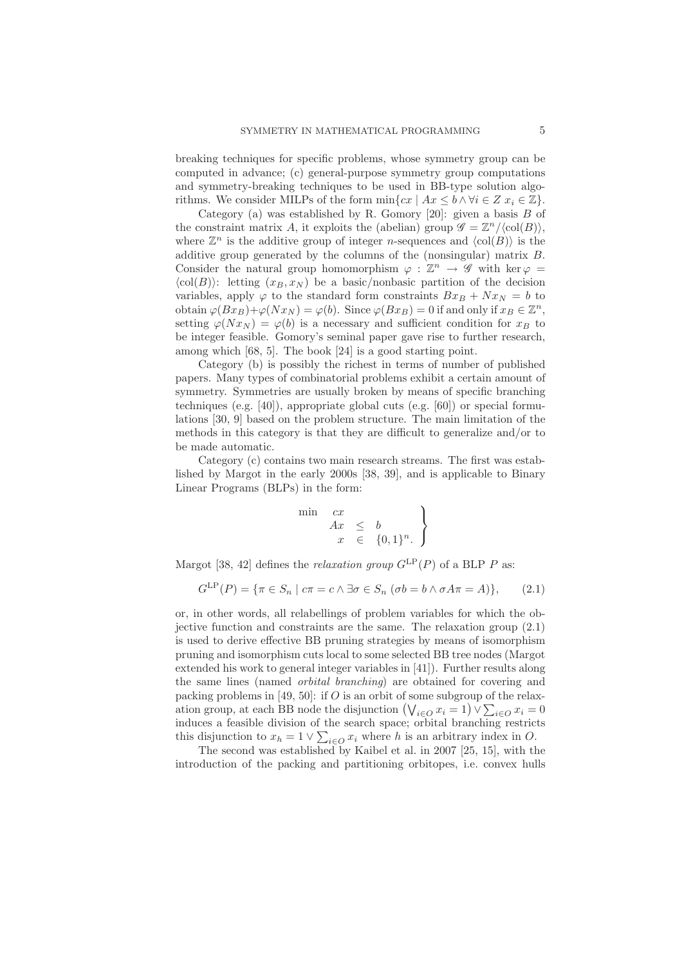breaking techniques for specific problems, whose symmetry group can be computed in advance; (c) general-purpose symmetry group computations and symmetry-breaking techniques to be used in BB-type solution algorithms. We consider MILPs of the form  $\min\{cx \mid Ax \leq b \land \forall i \in \mathbb{Z} \ x_i \in \mathbb{Z}\}.$ 

Category (a) was established by R. Gomory [20]: given a basis  $B$  of the constraint matrix A, it exploits the (abelian) group  $\mathscr{G} = \mathbb{Z}^n / \langle \text{col}(B) \rangle$ , where  $\mathbb{Z}^n$  is the additive group of integer *n*-sequences and  $\langle \text{col}(B) \rangle$  is the additive group generated by the columns of the (nonsingular) matrix B. Consider the natural group homomorphism  $\varphi : \mathbb{Z}^n \to \mathscr{G}$  with ker  $\varphi =$  $\langle \text{col}(B) \rangle$ : letting  $(x_B, x_N)$  be a basic/nonbasic partition of the decision variables, apply  $\varphi$  to the standard form constraints  $Bx_B + Nx_N = b$  to obtain  $\varphi(Bx_B)+\varphi(Nx_N)=\varphi(b)$ . Since  $\varphi(Bx_B)=0$  if and only if  $x_B \in \mathbb{Z}^n$ , setting  $\varphi(Nx_N) = \varphi(b)$  is a necessary and sufficient condition for  $x_B$  to be integer feasible. Gomory's seminal paper gave rise to further research, among which [68, 5]. The book [24] is a good starting point.

Category (b) is possibly the richest in terms of number of published papers. Many types of combinatorial problems exhibit a certain amount of symmetry. Symmetries are usually broken by means of specific branching techniques (e.g. [40]), appropriate global cuts (e.g. [60]) or special formulations [30, 9] based on the problem structure. The main limitation of the methods in this category is that they are difficult to generalize and/or to be made automatic.

Category (c) contains two main research streams. The first was established by Margot in the early 2000s [38, 39], and is applicable to Binary Linear Programs (BLPs) in the form:

$$
\begin{array}{rcl}\n\text{in} & cx \\
 & Ax & \leq & b \\
x & \in & \{0,1\}^n.\n\end{array}
$$

Margot [38, 42] defines the *relaxation group*  $G^{\text{LP}}(P)$  of a BLP P as:

 $\mathbf{r}$ 

$$
G^{\text{LP}}(P) = \{ \pi \in S_n \mid c\pi = c \land \exists \sigma \in S_n \ (\sigma b = b \land \sigma A \pi = A) \}, \tag{2.1}
$$

or, in other words, all relabellings of problem variables for which the objective function and constraints are the same. The relaxation group  $(2.1)$ is used to derive effective BB pruning strategies by means of isomorphism pruning and isomorphism cuts local to some selected BB tree nodes (Margot extended his work to general integer variables in [41]). Further results along the same lines (named *orbital branching*) are obtained for covering and packing problems in [49, 50]: if  $O$  is an orbit of some subgroup of the relaxation group, at each BB node the disjunction  $(\bigvee_{i \in O} x_i = 1) \vee \sum_{i \in O} x_i = 0$ induces a feasible division of the search space; orbital branching restricts this disjunction to  $x_h = 1 \vee \sum_{i \in O} x_i$  where h is an arbitrary index in O.

The second was established by Kaibel et al. in 2007 [25, 15], with the introduction of the packing and partitioning orbitopes, i.e. convex hulls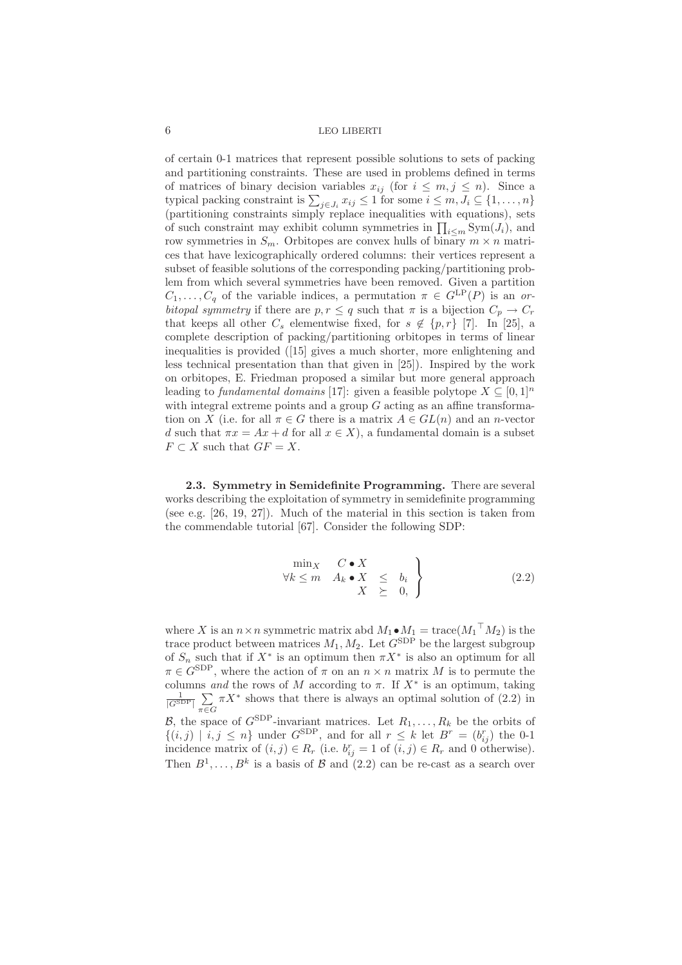of certain 0-1 matrices that represent possible solutions to sets of packing and partitioning constraints. These are used in problems defined in terms of matrices of binary decision variables  $x_{ij}$  (for  $i \leq m, j \leq n$ ). Since a typical packing constraint is  $\sum_{j\in J_i} x_{ij} \leq 1$  for some  $i \leq m, J_i \subseteq \{1, ..., n\}$  $\overline{\text{p}}$  (partitioning constraints simply replace inequalities with equations), sets of such constraint may exhibit column symmetries in  $\prod_{i\leq m} \text{Sym}(J_i)$ , and row symmetries in  $S_m$ . Orbitopes are convex hulls of binary  $m \times n$  matrices that have lexicographically ordered columns: their vertices represent a subset of feasible solutions of the corresponding packing/partitioning problem from which several symmetries have been removed. Given a partition  $C_1, \ldots, C_q$  of the variable indices, a permutation  $\pi \in G^{\text{LP}}(P)$  is an *orbitopal symmetry* if there are  $p, r \leq q$  such that  $\pi$  is a bijection  $C_p \to C_r$ that keeps all other  $C_s$  elementwise fixed, for  $s \notin \{p,r\}$  [7]. In [25], a complete description of packing/partitioning orbitopes in terms of linear inequalities is provided ([15] gives a much shorter, more enlightening and less technical presentation than that given in [25]). Inspired by the work on orbitopes, E. Friedman proposed a similar but more general approach leading to *fundamental domains* [17]: given a feasible polytope  $X \subseteq [0,1]^n$ with integral extreme points and a group  $G$  acting as an affine transformation on X (i.e. for all  $\pi \in G$  there is a matrix  $A \in GL(n)$  and an n-vector d such that  $\pi x = Ax + d$  for all  $x \in X$ ), a fundamental domain is a subset  $F \subset X$  such that  $GF = X$ .

2.3. Symmetry in Semidefinite Programming. There are several works describing the exploitation of symmetry in semidefinite programming (see e.g. [26, 19, 27]). Much of the material in this section is taken from the commendable tutorial [67]. Consider the following SDP:

$$
\begin{array}{ccc}\n\min_{X} & C \bullet X \\
\forall k \leq m & A_k \bullet X \leq b_i \\
X \geq 0, \end{array} \bigg\} \tag{2.2}
$$

where X is an  $n \times n$  symmetric matrix abd  $M_1 \bullet M_1 = \text{trace}(M_1 \supseteq M_2)$  is the trace product between matrices  $M_1, M_2$ . Let  $G^{\text{SDP}}$  be the largest subgroup of  $S_n$  such that if  $X^*$  is an optimum then  $\pi X^*$  is also an optimum for all  $\pi \in G^{\text{SDP}}$ , where the action of  $\pi$  on an  $n \times n$  matrix M is to permute the columns *and* the rows of M according to  $\pi$ . If  $X^*$  is an optimum, taking  $\frac{1}{|G^{\text{SDP}}|}$   $\sum$  $\pi \in G$  $\pi X^*$  shows that there is always an optimal solution of  $(2.2)$  in B, the space of  $G^{\text{SDP}}$ -invariant matrices. Let  $R_1, \ldots, R_k$  be the orbits of  $\{(i,j) | i,j \leq n\}$  under  $G^{\text{SDP}}$ , and for all  $r \leq k$  let  $B^r = (b_{ij}^r)$  the 0-1 incidence matrix of  $(i, j) \in R_r$  (i.e.  $b_{ij}^r = 1$  of  $(i, j) \in R_r$  and 0 otherwise).

Then  $B^1, \ldots, B^k$  is a basis of  $\mathcal B$  and  $(2.2)$  can be re-cast as a search over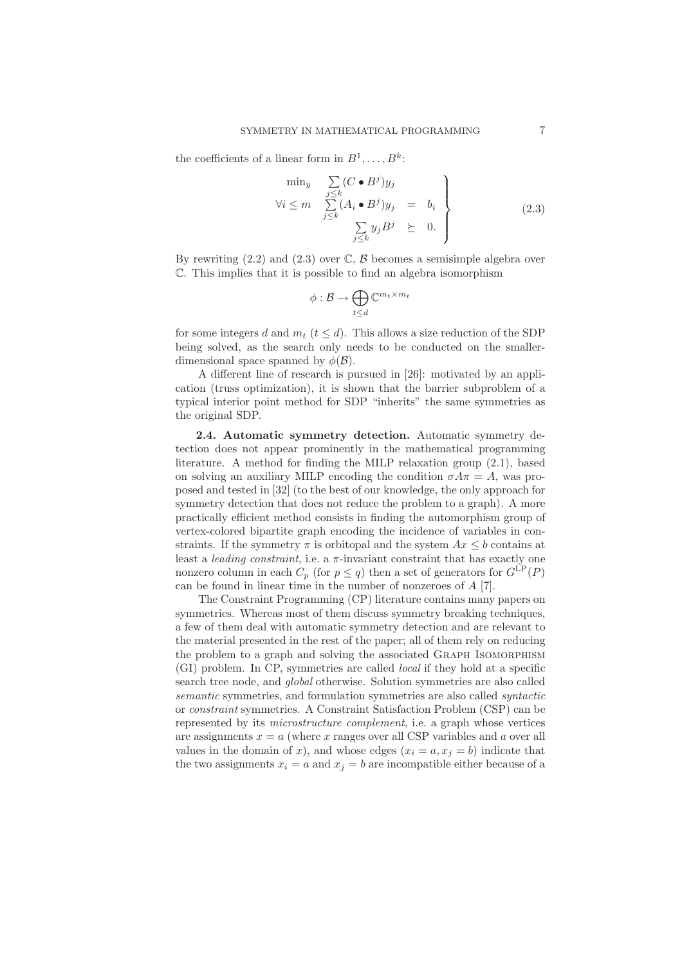the coefficients of a linear form in  $B^1, \ldots, B^k$ :

$$
\begin{array}{rcl}\n\min_{y} & \sum_{j \leq k} (C \bullet B^j) y_j \\
\forall i \leq m & \sum_{j \leq k} (A_i \bullet B^j) y_j & = & b_i \\
& \sum_{j \leq k} y_j B^j & \geq & 0.\n\end{array}\n\right\} \tag{2.3}
$$

By rewriting  $(2.2)$  and  $(2.3)$  over  $\mathbb{C}, \mathcal{B}$  becomes a semisimple algebra over C. This implies that it is possible to find an algebra isomorphism

$$
\phi: \mathcal{B} \to \bigoplus_{t \leq d} \mathbb{C}^{m_t \times m_t}
$$

for some integers d and  $m_t$  ( $t \leq d$ ). This allows a size reduction of the SDP being solved, as the search only needs to be conducted on the smallerdimensional space spanned by  $\phi(\mathcal{B})$ .

A different line of research is pursued in [26]: motivated by an application (truss optimization), it is shown that the barrier subproblem of a typical interior point method for SDP "inherits" the same symmetries as the original SDP.

2.4. Automatic symmetry detection. Automatic symmetry detection does not appear prominently in the mathematical programming literature. A method for finding the MILP relaxation group (2.1), based on solving an auxiliary MILP encoding the condition  $\sigma A\pi = A$ , was proposed and tested in [32] (to the best of our knowledge, the only approach for symmetry detection that does not reduce the problem to a graph). A more practically efficient method consists in finding the automorphism group of vertex-colored bipartite graph encoding the incidence of variables in constraints. If the symmetry  $\pi$  is orbitopal and the system  $Ax \leq b$  contains at least a *leading constraint*, i.e. a  $\pi$ -invariant constraint that has exactly one nonzero column in each  $C_p$  (for  $p \leq q$ ) then a set of generators for  $G^{\text{LP}}(P)$ can be found in linear time in the number of nonzeroes of A [7].

The Constraint Programming (CP) literature contains many papers on symmetries. Whereas most of them discuss symmetry breaking techniques, a few of them deal with automatic symmetry detection and are relevant to the material presented in the rest of the paper; all of them rely on reducing the problem to a graph and solving the associated Graph Isomorphism (GI) problem. In CP, symmetries are called *local* if they hold at a specific search tree node, and *global* otherwise. Solution symmetries are also called *semantic* symmetries, and formulation symmetries are also called *syntactic* or *constraint* symmetries. A Constraint Satisfaction Problem (CSP) can be represented by its *microstructure complement*, i.e. a graph whose vertices are assignments  $x = a$  (where x ranges over all CSP variables and a over all values in the domain of x), and whose edges  $(x_i = a, x_j = b)$  indicate that the two assignments  $x_i = a$  and  $x_j = b$  are incompatible either because of a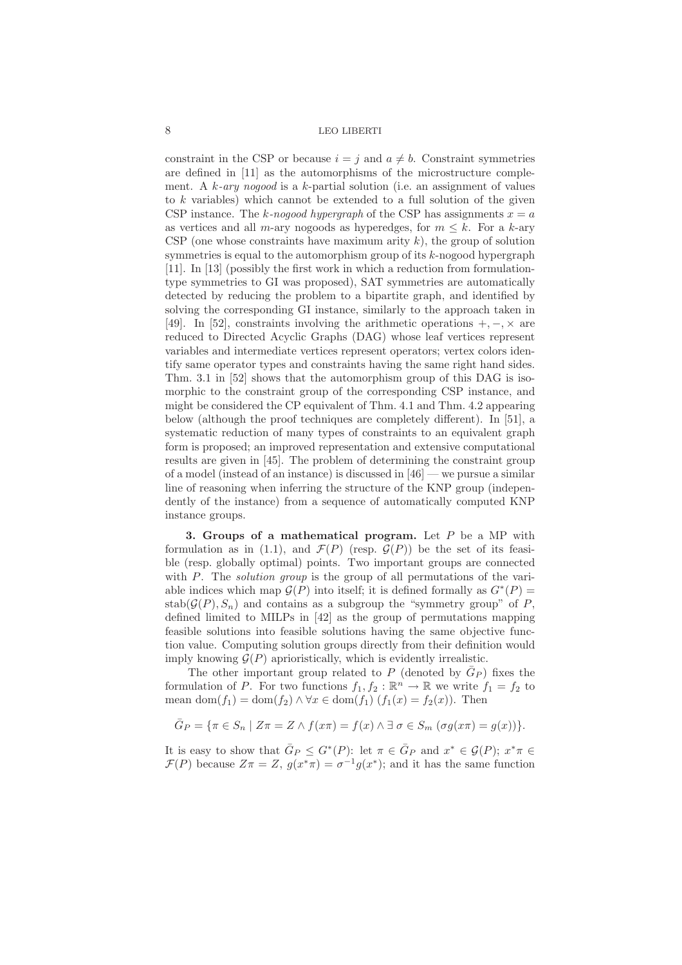constraint in the CSP or because  $i = j$  and  $a \neq b$ . Constraint symmetries are defined in [11] as the automorphisms of the microstructure complement. A k*-ary nogood* is a k-partial solution (i.e. an assignment of values to  $k$  variables) which cannot be extended to a full solution of the given CSP instance. The k-nogood hypergraph of the CSP has assignments  $x = a$ as vertices and all m-ary nogoods as hyperedges, for  $m \leq k$ . For a k-ary CSP (one whose constraints have maximum arity  $k$ ), the group of solution symmetries is equal to the automorphism group of its  $k$ -nogood hypergraph [11]. In [13] (possibly the first work in which a reduction from formulationtype symmetries to GI was proposed), SAT symmetries are automatically detected by reducing the problem to a bipartite graph, and identified by solving the corresponding GI instance, similarly to the approach taken in [49]. In [52], constraints involving the arithmetic operations  $+,-, \times$  are reduced to Directed Acyclic Graphs (DAG) whose leaf vertices represent variables and intermediate vertices represent operators; vertex colors identify same operator types and constraints having the same right hand sides. Thm. 3.1 in [52] shows that the automorphism group of this DAG is isomorphic to the constraint group of the corresponding CSP instance, and might be considered the CP equivalent of Thm. 4.1 and Thm. 4.2 appearing below (although the proof techniques are completely different). In [51], a systematic reduction of many types of constraints to an equivalent graph form is proposed; an improved representation and extensive computational results are given in [45]. The problem of determining the constraint group of a model (instead of an instance) is discussed in [46] — we pursue a similar line of reasoning when inferring the structure of the KNP group (independently of the instance) from a sequence of automatically computed KNP instance groups.

3. Groups of a mathematical program. Let  $P$  be a MP with formulation as in (1.1), and  $\mathcal{F}(P)$  (resp.  $\mathcal{G}(P)$ ) be the set of its feasible (resp. globally optimal) points. Two important groups are connected with P. The *solution group* is the group of all permutations of the variable indices which map  $\mathcal{G}(P)$  into itself; it is defined formally as  $G^*(P)$  =  $stab(\mathcal{G}(P),S_n)$  and contains as a subgroup the "symmetry group" of P, defined limited to MILPs in [42] as the group of permutations mapping feasible solutions into feasible solutions having the same objective function value. Computing solution groups directly from their definition would imply knowing  $\mathcal{G}(P)$  aprioristically, which is evidently irrealistic.

The other important group related to P (denoted by  $\overline{G}_P$ ) fixes the formulation of P. For two functions  $f_1, f_2 : \mathbb{R}^n \to \mathbb{R}$  we write  $f_1 = f_2$  to mean dom $(f_1) = \text{dom}(f_2) \land \forall x \in \text{dom}(f_1)$   $(f_1(x) = f_2(x))$ . Then

$$
\overline{G}_P = \{ \pi \in S_n \mid Z\pi = Z \land f(x\pi) = f(x) \land \exists \sigma \in S_m \ (\sigma g(x\pi) = g(x)) \}.
$$

It is easy to show that  $\bar{G}_P \leq G^*(P)$ : let  $\pi \in \bar{G}_P$  and  $x^* \in \mathcal{G}(P)$ ;  $x^*\pi \in$  $\mathcal{F}(P)$  because  $Z\pi = Z$ ,  $g(x^*\pi) = \sigma^{-1}g(x^*)$ ; and it has the same function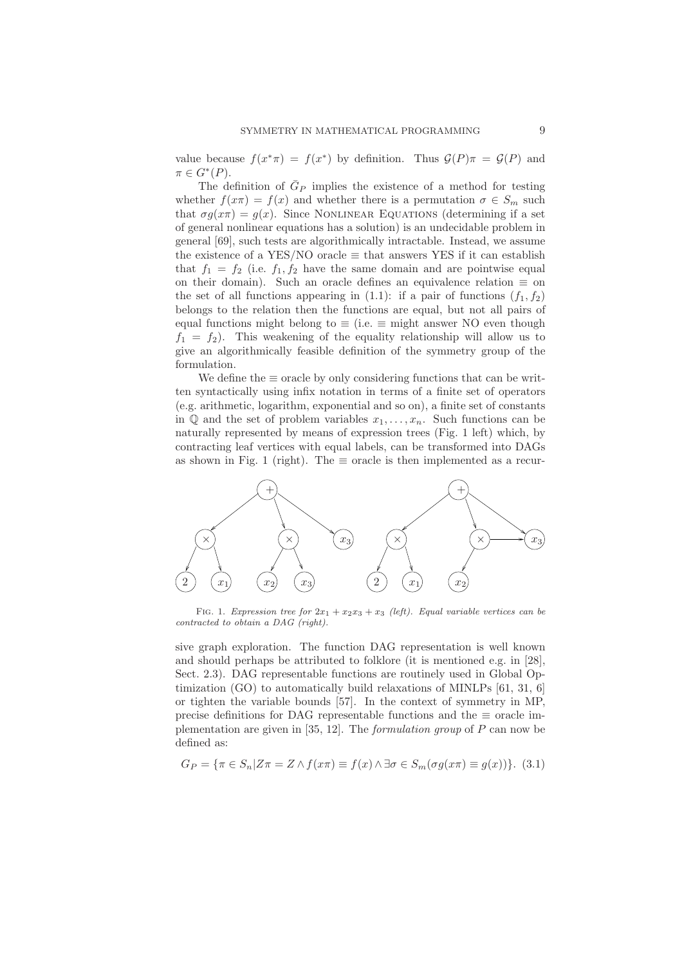value because  $f(x^*\pi) = f(x^*)$  by definition. Thus  $\mathcal{G}(P)\pi = \mathcal{G}(P)$  and  $\pi \in G^*(P).$ 

The definition of  $\bar{G}_P$  implies the existence of a method for testing whether  $f(x\pi) = f(x)$  and whether there is a permutation  $\sigma \in S_m$  such that  $\sigma g(x\pi) = g(x)$ . Since NONLINEAR EQUATIONS (determining if a set of general nonlinear equations has a solution) is an undecidable problem in general [69], such tests are algorithmically intractable. Instead, we assume the existence of a YES/NO oracle  $\equiv$  that answers YES if it can establish that  $f_1 = f_2$  (i.e.  $f_1, f_2$  have the same domain and are pointwise equal on their domain). Such an oracle defines an equivalence relation  $\equiv$  on the set of all functions appearing in (1.1): if a pair of functions  $(f_1, f_2)$ belongs to the relation then the functions are equal, but not all pairs of equal functions might belong to  $\equiv$  (i.e.  $\equiv$  might answer NO even though  $f_1 = f_2$ ). This weakening of the equality relationship will allow us to give an algorithmically feasible definition of the symmetry group of the formulation.

We define the  $\equiv$  oracle by only considering functions that can be written syntactically using infix notation in terms of a finite set of operators (e.g. arithmetic, logarithm, exponential and so on), a finite set of constants in  $\mathbb Q$  and the set of problem variables  $x_1, \ldots, x_n$ . Such functions can be naturally represented by means of expression trees (Fig. 1 left) which, by contracting leaf vertices with equal labels, can be transformed into DAGs as shown in Fig. 1 (right). The  $\equiv$  oracle is then implemented as a recur-



FIG. 1. *Expression tree for*  $2x_1 + x_2x_3 + x_3$  *(left). Equal variable vertices can be contracted to obtain a DAG (right).*

sive graph exploration. The function DAG representation is well known and should perhaps be attributed to folklore (it is mentioned e.g. in [28], Sect. 2.3). DAG representable functions are routinely used in Global Optimization (GO) to automatically build relaxations of MINLPs [61, 31, 6] or tighten the variable bounds [57]. In the context of symmetry in MP, precise definitions for DAG representable functions and the  $\equiv$  oracle implementation are given in [35, 12]. The *formulation group* of P can now be defined as:

$$
G_P = \{ \pi \in S_n | Z\pi = Z \land f(x\pi) \equiv f(x) \land \exists \sigma \in S_m (\sigma g(x\pi) \equiv g(x)) \}. (3.1)
$$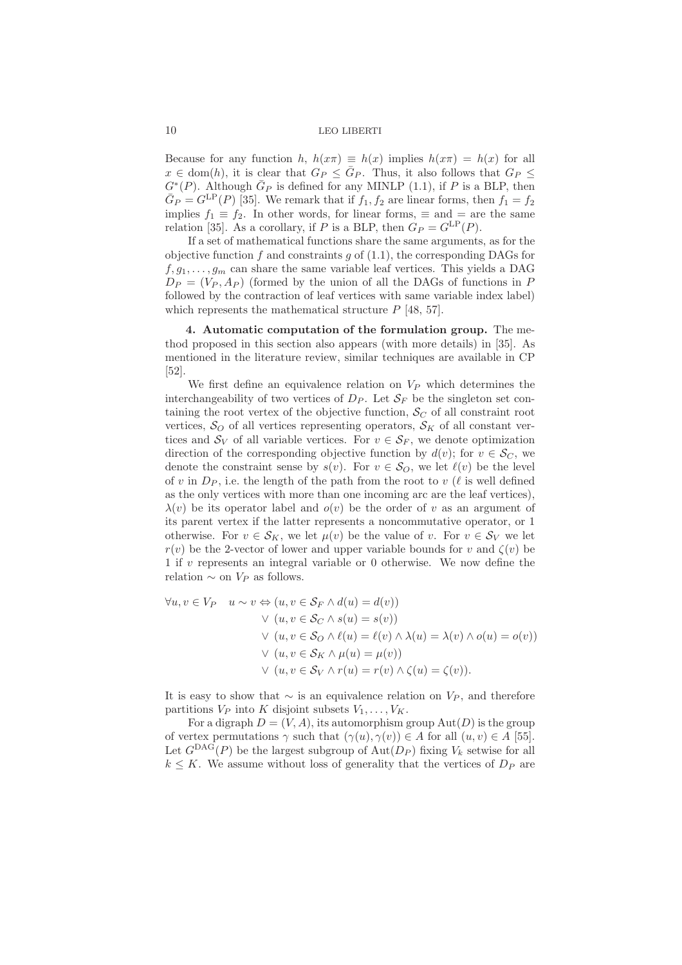Because for any function h,  $h(x\pi) \equiv h(x)$  implies  $h(x\pi) = h(x)$  for all  $x \in \text{dom}(h)$ , it is clear that  $G_P \leq \overline{G}_P$ . Thus, it also follows that  $G_P \leq$  $G^*(P)$ . Although  $\bar{G}_P$  is defined for any MINLP (1.1), if P is a BLP, then  $\bar{G}_P = G^{\text{LP}}(P)$  [35]. We remark that if  $f_1, f_2$  are linear forms, then  $f_1 = f_2$ implies  $f_1 \equiv f_2$ . In other words, for linear forms,  $\equiv$  and  $=$  are the same relation [35]. As a corollary, if P is a BLP, then  $G_P = G^{\text{LP}}(P)$ .

If a set of mathematical functions share the same arguments, as for the objective function  $f$  and constraints  $g$  of (1.1), the corresponding DAGs for  $f, g_1, \ldots, g_m$  can share the same variable leaf vertices. This yields a DAG  $D_P = (V_P, A_P)$  (formed by the union of all the DAGs of functions in P followed by the contraction of leaf vertices with same variable index label) which represents the mathematical structure  $P$  [48, 57].

4. Automatic computation of the formulation group. The method proposed in this section also appears (with more details) in [35]. As mentioned in the literature review, similar techniques are available in CP [52].

We first define an equivalence relation on  $V_P$  which determines the interchangeability of two vertices of  $D_P$ . Let  $S_F$  be the singleton set containing the root vertex of the objective function,  $\mathcal{S}_{C}$  of all constraint root vertices,  $\mathcal{S}_O$  of all vertices representing operators,  $\mathcal{S}_K$  of all constant vertices and  $\mathcal{S}_V$  of all variable vertices. For  $v \in \mathcal{S}_F$ , we denote optimization direction of the corresponding objective function by  $d(v)$ ; for  $v \in \mathcal{S}_C$ , we denote the constraint sense by  $s(v)$ . For  $v \in \mathcal{S}_O$ , we let  $\ell(v)$  be the level of v in  $D_P$ , i.e. the length of the path from the root to v ( $\ell$  is well defined as the only vertices with more than one incoming arc are the leaf vertices),  $\lambda(v)$  be its operator label and  $o(v)$  be the order of v as an argument of its parent vertex if the latter represents a noncommutative operator, or 1 otherwise. For  $v \in \mathcal{S}_K$ , we let  $\mu(v)$  be the value of v. For  $v \in \mathcal{S}_V$  we let  $r(v)$  be the 2-vector of lower and upper variable bounds for v and  $\zeta(v)$  be 1 if v represents an integral variable or 0 otherwise. We now define the relation  $\sim$  on  $V_P$  as follows.

$$
\forall u, v \in V_P \quad u \sim v \Leftrightarrow (u, v \in S_F \land d(u) = d(v))
$$
  
\n
$$
\lor (u, v \in S_C \land s(u) = s(v))
$$
  
\n
$$
\lor (u, v \in S_O \land \ell(u) = \ell(v) \land \lambda(u) = \lambda(v) \land o(u) = o(v))
$$
  
\n
$$
\lor (u, v \in S_K \land \mu(u) = \mu(v))
$$
  
\n
$$
\lor (u, v \in S_V \land r(u) = r(v) \land \zeta(u) = \zeta(v)).
$$

It is easy to show that  $\sim$  is an equivalence relation on  $V_P$ , and therefore partitions  $V_P$  into K disjoint subsets  $V_1, \ldots, V_K$ .

For a digraph  $D = (V, A)$ , its automorphism group  $Aut(D)$  is the group of vertex permutations  $\gamma$  such that  $(\gamma(u), \gamma(v)) \in A$  for all  $(u, v) \in A$  [55]. Let  $G<sup>\text{DAG}</sup>(P)$  be the largest subgroup of  $\text{Aut}(D_P)$  fixing  $V_k$  setwise for all  $k \leq K$ . We assume without loss of generality that the vertices of  $D_P$  are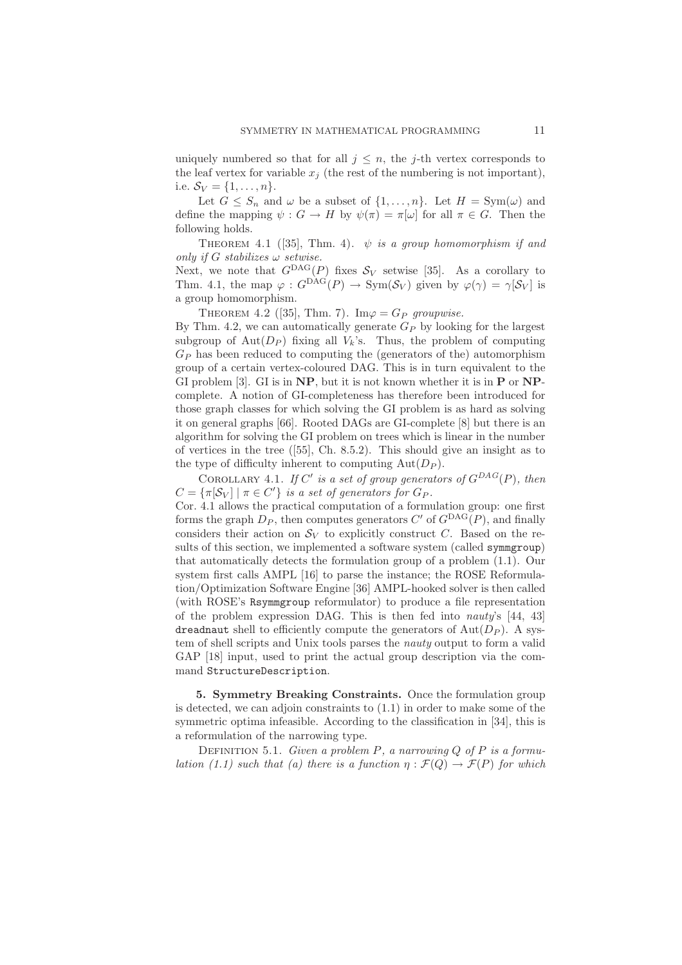uniquely numbered so that for all  $j \leq n$ , the j-th vertex corresponds to the leaf vertex for variable  $x_i$  (the rest of the numbering is not important), i.e.  $S_V = \{1, ..., n\}.$ 

Let  $G \leq S_n$  and  $\omega$  be a subset of  $\{1, \ldots, n\}$ . Let  $H = \text{Sym}(\omega)$  and define the mapping  $\psi : G \to H$  by  $\psi(\pi) = \pi[\omega]$  for all  $\pi \in G$ . Then the following holds.

THEOREM 4.1 ([35], Thm. 4).  $\psi$  *is a group homomorphism if and only if* G *stabilizes* ω *setwise.*

Next, we note that  $G^{DAG}(P)$  fixes  $S_V$  setwise [35]. As a corollary to Thm. 4.1, the map  $\varphi: G^{DAG}(P) \to \text{Sym}(\mathcal{S}_V)$  given by  $\varphi(\gamma) = \gamma[\mathcal{S}_V]$  is a group homomorphism.

THEOREM 4.2 ([35], Thm. 7). Im $\varphi = G_P$  groupwise.

By Thm. 4.2, we can automatically generate  $G_P$  by looking for the largest subgroup of  $Aut(D_P)$  fixing all  $V_k$ 's. Thus, the problem of computing  $G_P$  has been reduced to computing the (generators of the) automorphism group of a certain vertex-coloured DAG. This is in turn equivalent to the GI problem  $[3]$ . GI is in NP, but it is not known whether it is in P or NPcomplete. A notion of GI-completeness has therefore been introduced for those graph classes for which solving the GI problem is as hard as solving it on general graphs [66]. Rooted DAGs are GI-complete [8] but there is an algorithm for solving the GI problem on trees which is linear in the number of vertices in the tree ([55], Ch. 8.5.2). This should give an insight as to the type of difficulty inherent to computing  $Aut(D_P)$ .

COROLLARY 4.1. If C' is a set of group generators of  $G^{DAG}(P)$ , then  $C = {\pi[\mathcal{S}_V] \mid \pi \in C'}$  *is a set of generators for*  $G_P$ *.* 

Cor. 4.1 allows the practical computation of a formulation group: one first forms the graph  $D_P$ , then computes generators C' of  $G^{DAG}(P)$ , and finally considers their action on  $\mathcal{S}_V$  to explicitly construct C. Based on the results of this section, we implemented a software system (called symmgroup) that automatically detects the formulation group of a problem (1.1). Our system first calls AMPL [16] to parse the instance; the ROSE Reformulation/Optimization Software Engine [36] AMPL-hooked solver is then called (with ROSE's Rsymmgroup reformulator) to produce a file representation of the problem expression DAG. This is then fed into *nauty*'s [44, 43] dreadnaut shell to efficiently compute the generators of  $Aut(D_P)$ . A system of shell scripts and Unix tools parses the *nauty* output to form a valid GAP [18] input, used to print the actual group description via the command StructureDescription.

5. Symmetry Breaking Constraints. Once the formulation group is detected, we can adjoin constraints to (1.1) in order to make some of the symmetric optima infeasible. According to the classification in [34], this is a reformulation of the narrowing type.

Definition 5.1. *Given a problem* P*, a narrowing* Q *of* P *is a formulation (1.1) such that (a) there is a function*  $\eta : \mathcal{F}(Q) \to \mathcal{F}(P)$  *for which*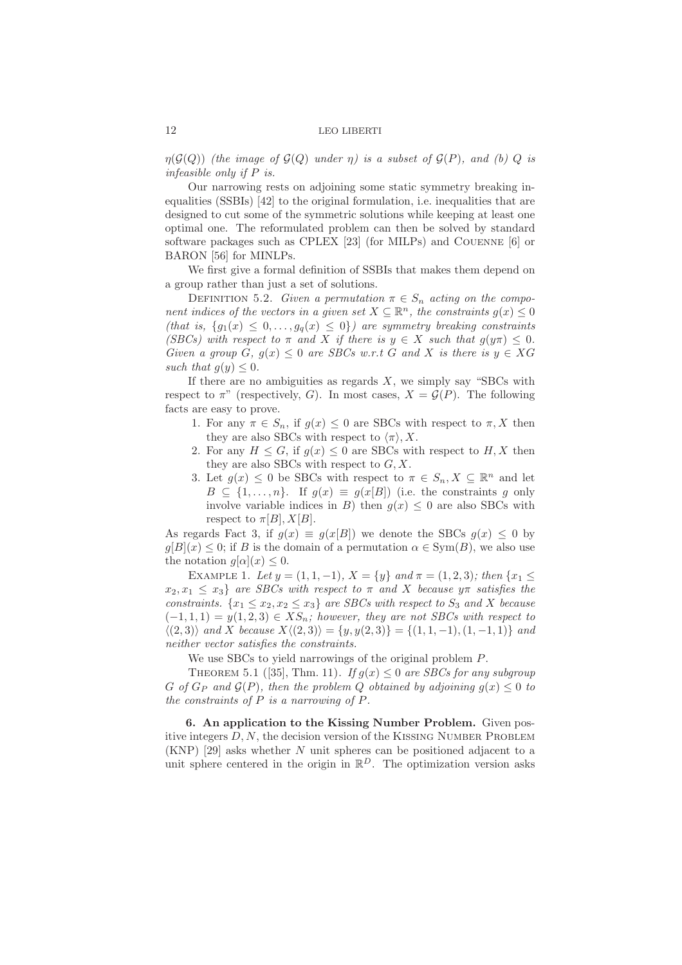$\eta(\mathcal{G}(Q))$  *(the image of*  $\mathcal{G}(Q)$  *under*  $\eta$ *) is a subset of*  $\mathcal{G}(P)$ *, and (b)*  $Q$  *is infeasible only if* P *is.*

Our narrowing rests on adjoining some static symmetry breaking inequalities (SSBIs) [42] to the original formulation, i.e. inequalities that are designed to cut some of the symmetric solutions while keeping at least one optimal one. The reformulated problem can then be solved by standard software packages such as CPLEX [23] (for MILPs) and Couenne [6] or BARON [56] for MINLPs.

We first give a formal definition of SSBIs that makes them depend on a group rather than just a set of solutions.

DEFINITION 5.2. *Given a permutation*  $\pi \in S_n$  *acting on the component indices of the vectors in a given set*  $X \subseteq \mathbb{R}^n$ , the constraints  $g(x) \leq 0$ *(that is,*  $\{g_1(x) \leq 0, \ldots, g_q(x) \leq 0\}$ *) are symmetry breaking constraints (SBCs)* with respect to  $\pi$  *and* X *if there is*  $y \in X$  *such that*  $q(y\pi) \leq 0$ *. Given a group*  $G, g(x) \leq 0$  *are SBCs w.r.t*  $G$  *and*  $X$  *is there is*  $y \in XG$ *such that*  $q(y) \leq 0$ .

If there are no ambiguities as regards  $X$ , we simply say "SBCs with respect to  $\pi$ " (respectively, G). In most cases,  $X = \mathcal{G}(P)$ . The following facts are easy to prove.

- 1. For any  $\pi \in S_n$ , if  $g(x) \leq 0$  are SBCs with respect to  $\pi, X$  then they are also SBCs with respect to  $\langle \pi \rangle$ , X.
- 2. For any  $H \leq G$ , if  $g(x) \leq 0$  are SBCs with respect to  $H, X$  then they are also SBCs with respect to  $G, X$ .
- 3. Let  $g(x) \leq 0$  be SBCs with respect to  $\pi \in S_n, X \subseteq \mathbb{R}^n$  and let  $B \subseteq \{1,\ldots,n\}$ . If  $g(x) \equiv g(x[B])$  (i.e. the constraints g only involve variable indices in B) then  $g(x) \leq 0$  are also SBCs with respect to  $\pi[B], X[B]$ .

As regards Fact 3, if  $q(x) \equiv q(x|B)$  we denote the SBCs  $q(x) \leq 0$  by  $g[B](x) \leq 0$ ; if B is the domain of a permutation  $\alpha \in \text{Sym}(B)$ , we also use the notation  $q[\alpha](x) \leq 0$ .

EXAMPLE 1. Let  $y = (1, 1, -1)$ ,  $X = \{y\}$  and  $\pi = (1, 2, 3)$ ; then  $\{x_1 \leq$  $x_2, x_1 \leq x_3$  *are SBCs with respect to*  $\pi$  *and* X *because*  $y\pi$  *satisfies the constraints.*  $\{x_1 \le x_2, x_2 \le x_3\}$  *are SBCs with respect to*  $S_3$  *and* X *because*  $(-1, 1, 1) = y(1, 2, 3) \in \mathcal{X}S_n$ ; however, they are not SBCs with respect to  $\langle (2, 3) \rangle$  *and* X *because*  $X \langle (2, 3) \rangle = \{y, y(2, 3)\} = \{(1, 1, -1), (1, -1, 1)\}$  *and neither vector satisfies the constraints.*

We use SBCs to yield narrowings of the original problem P.

THEOREM 5.1 ([35], Thm. 11). *If*  $g(x) \leq 0$  *are SBCs for any subgroup* G of  $G_P$  and  $\mathcal{G}(P)$ , then the problem Q obtained by adjoining  $g(x) \leq 0$  to *the constraints of* P *is a narrowing of* P*.*

6. An application to the Kissing Number Problem. Given positive integers  $D, N$ , the decision version of the KISSING NUMBER PROBLEM (KNP) [29] asks whether N unit spheres can be positioned adjacent to a unit sphere centered in the origin in  $\mathbb{R}^D$ . The optimization version asks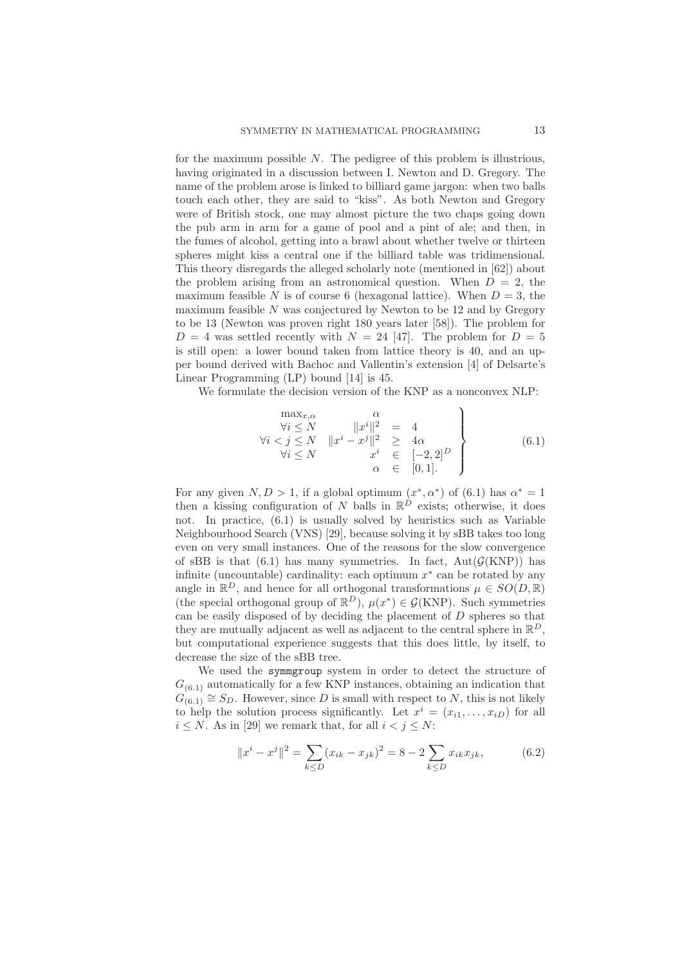for the maximum possible  $N$ . The pedigree of this problem is illustrious, having originated in a discussion between I. Newton and D. Gregory. The name of the problem arose is linked to billiard game jargon: when two balls touch each other, they are said to "kiss". As both Newton and Gregory were of British stock, one may almost picture the two chaps going down the pub arm in arm for a game of pool and a pint of ale; and then, in the fumes of alcohol, getting into a brawl about whether twelve or thirteen spheres might kiss a central one if the billiard table was tridimensional. This theory disregards the alleged scholarly note (mentioned in [62]) about the problem arising from an astronomical question. When  $D = 2$ , the maximum feasible N is of course 6 (hexagonal lattice). When  $D = 3$ , the maximum feasible  $N$  was conjectured by Newton to be 12 and by Gregory to be 13 (Newton was proven right 180 years later [58]). The problem for  $D = 4$  was settled recently with  $N = 24$  [47]. The problem for  $D = 5$ is still open: a lower bound taken from lattice theory is 40, and an upper bound derived with Bachoc and Vallentin's extension [4] of Delsarte's Linear Programming (LP) bound [14] is 45.

We formulate the decision version of the KNP as a nonconvex NLP:

$$
\begin{array}{c}\n\max_{x,\alpha} & \alpha \\
\forall i \le N & \|x^i\|^2 = 4 \\
\forall i \le N & \|x^i - x^j\|^2 \ge 4\alpha \\
\forall i \le N & x^i \in [-2, 2]^D \\
\alpha \in [0, 1].\n\end{array}
$$
\n(6.1)

For any given  $N, D > 1$ , if a global optimum  $(x^*, \alpha^*)$  of  $(6.1)$  has  $\alpha^* = 1$ then a kissing configuration of N balls in  $\mathbb{R}^D$  exists; otherwise, it does not. In practice, (6.1) is usually solved by heuristics such as Variable Neighbourhood Search (VNS) [29], because solving it by sBB takes too long even on very small instances. One of the reasons for the slow convergence of sBB is that  $(6.1)$  has many symmetries. In fact,  $Aut(\mathcal{G}(KNP))$  has infinite (uncountable) cardinality: each optimum  $x^*$  can be rotated by any angle in  $\mathbb{R}^D$ , and hence for all orthogonal transformations  $\mu \in SO(D, \mathbb{R})$ (the special orthogonal group of  $\mathbb{R}^D$ ),  $\mu(x^*) \in \mathcal{G}(KNP)$ . Such symmetries can be easily disposed of by deciding the placement of  $D$  spheres so that they are mutually adjacent as well as adjacent to the central sphere in  $\mathbb{R}^D$ , but computational experience suggests that this does little, by itself, to decrease the size of the sBB tree.

We used the symmgroup system in order to detect the structure of  $G_{(6,1)}$  automatically for a few KNP instances, obtaining an indication that  $G_{(6,1)} \cong S_D$ . However, since D is small with respect to N, this is not likely to help the solution process significantly. Let  $x^i = (x_{i1}, \ldots, x_{iD})$  for all  $i \leq N$ . As in [29] we remark that, for all  $i < j \leq N$ :

$$
||x^{i} - x^{j}||^{2} = \sum_{k \le D} (x_{ik} - x_{jk})^{2} = 8 - 2 \sum_{k \le D} x_{ik} x_{jk},
$$
 (6.2)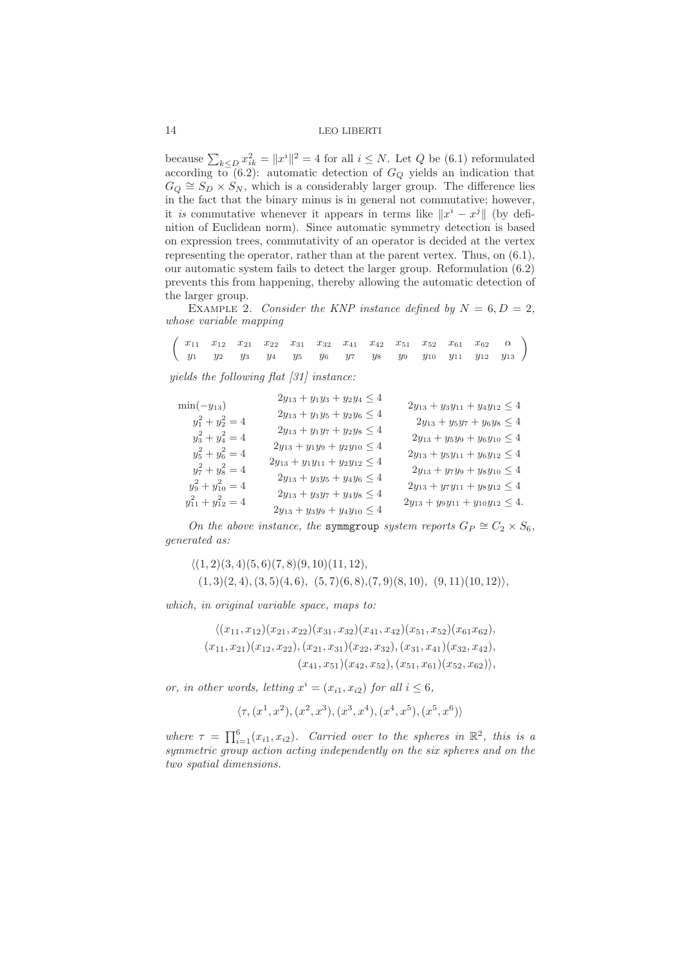because  $\sum_{k \leq D} x_{ik}^2 = ||x^i||^2 = 4$  for all  $i \leq N$ . Let Q be (6.1) reformulated according to  $(6.2)$ : automatic detection of  $G_Q$  yields an indication that  $G_Q \cong S_D \times S_N$ , which is a considerably larger group. The difference lies in the fact that the binary minus is in general not commutative; however, it *is* commutative whenever it appears in terms like  $||x^i - x^j||$  (by definition of Euclidean norm). Since automatic symmetry detection is based on expression trees, commutativity of an operator is decided at the vertex representing the operator, rather than at the parent vertex. Thus, on (6.1), our automatic system fails to detect the larger group. Reformulation (6.2) prevents this from happening, thereby allowing the automatic detection of the larger group.

EXAMPLE 2. *Consider the KNP instance defined by*  $N = 6, D = 2$ , *whose variable mapping*

 $\left(\begin{array}{ccccccccc} x_{11} & x_{12} & x_{21} & x_{22} & x_{31} & x_{32} & x_{41} & x_{42} & x_{51} & x_{52} & x_{61} & x_{62} & \alpha\ y_1 & y_2 & y_3 & y_4 & y_5 & y_6 & y_7 & y_8 & y_9 & y_{10} & y_{11} & y_{12} & y_{13} \end{array}\right)$ 

*yields the following flat [31] instance:*

$$
\min(-y_{13})
$$
\n
$$
2y_{13} + y_1y_3 + y_2y_4 \le 4
$$
\n
$$
y_1^2 + y_2^2 = 4
$$
\n
$$
2y_{13} + y_1y_5 + y_2y_6 \le 4
$$
\n
$$
2y_{13} + y_3y_7 + y_6y_8 \le 4
$$
\n
$$
y_3^2 + y_4^2 = 4
$$
\n
$$
2y_{13} + y_1y_7 + y_2y_8 \le 4
$$
\n
$$
2y_{13} + y_1y_9 + y_2y_{10} \le 4
$$
\n
$$
2y_{13} + y_5y_7 + y_6y_8 \le 4
$$
\n
$$
2y_{13} + y_5y_9 + y_6y_{10} \le 4
$$
\n
$$
2y_{13} + y_5y_9 + y_6y_{10} \le 4
$$
\n
$$
2y_{13} + y_5y_{11} + y_6y_{12} \le 4
$$
\n
$$
2y_{13} + y_5y_{11} + y_6y_{12} \le 4
$$
\n
$$
2y_{13} + y_3y_5 + y_4y_6 \le 4
$$
\n
$$
2y_{13} + y_7y_{11} + y_8y_{12} \le 4
$$
\n
$$
2y_{13} + y_3y_7 + y_4y_8 \le 4
$$
\n
$$
2y_{13} + y_3y_7 + y_4y_8 \le 4
$$
\n
$$
2y_{13} + y_3y_{11} + y_{10}y_{12} \le 4
$$
\n
$$
2y_{13} + y_3y_9 + y_4y_{10} \le 4
$$
\n
$$
2y_{13} + y_3y_{11} + y_{10}y_{12} \le 4
$$

*On the above instance, the* symmgroup *system reports*  $G_P \cong C_2 \times S_6$ , *generated as:*

$$
\langle (1,2)(3,4)(5,6)(7,8)(9,10)(11,12),(1,3)(2,4), (3,5)(4,6), (5,7)(6,8), (7,9)(8,10), (9,11)(10,12) \rangle,
$$

*which, in original variable space, maps to:*

$$
\langle (x_{11}, x_{12})(x_{21}, x_{22})(x_{31}, x_{32})(x_{41}, x_{42})(x_{51}, x_{52})(x_{61}x_{62}),
$$
  

$$
(x_{11}, x_{21})(x_{12}, x_{22}), (x_{21}, x_{31})(x_{22}, x_{32}), (x_{31}, x_{41})(x_{32}, x_{42}),
$$
  

$$
(x_{41}, x_{51})(x_{42}, x_{52}), (x_{51}, x_{61})(x_{52}, x_{62}),
$$

*or, in other words, letting*  $x^i = (x_{i1}, x_{i2})$  *for all*  $i \leq 6$ *,* 

$$
\langle \tau, (x^1, x^2), (x^2, x^3), (x^3, x^4), (x^4, x^5), (x^5, x^6) \rangle
$$

where  $\tau = \prod_{i=1}^{6} (x_{i1}, x_{i2})$ *. Carried over to the spheres in*  $\mathbb{R}^2$ *, this is a symmetric group action acting independently on the six spheres and on the two spatial dimensions.*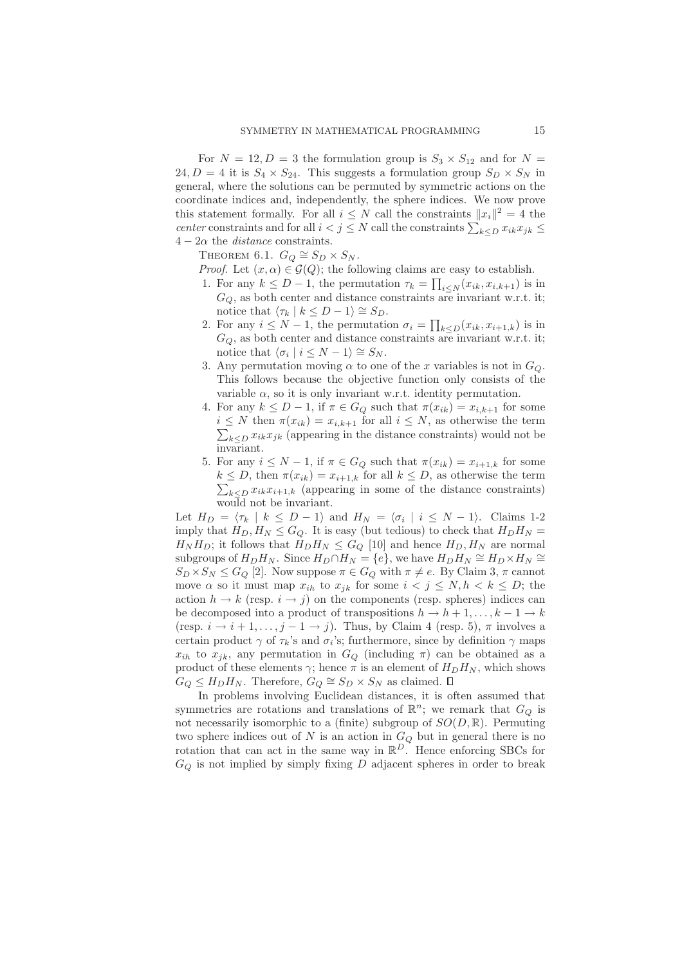For  $N = 12, D = 3$  the formulation group is  $S_3 \times S_{12}$  and for  $N =$ 24,  $D = 4$  it is  $S_4 \times S_{24}$ . This suggests a formulation group  $S_D \times S_N$  in general, where the solutions can be permuted by symmetric actions on the coordinate indices and, independently, the sphere indices. We now prove this statement formally. For all  $i \leq N$  call the constraints  $||x_i||^2 = 4$  the *center* constraints and for all  $i < j \leq N$  call the constraints  $\sum_{k \leq D} x_{ik} x_{jk} \leq$  $4 - 2\alpha$  the *distance* constraints.

THEOREM 6.1.  $G_Q \cong S_D \times S_N$ .

*Proof.* Let  $(x, \alpha) \in \mathcal{G}(Q)$ ; the following claims are easy to establish.

- 1. For any  $k \leq D-1$ , the permutation  $\tau_k = \prod_{i \leq N} (x_{ik}, x_{i,k+1})$  is in  $G<sub>O</sub>$ , as both center and distance constraints are invariant w.r.t. it; notice that  $\langle \tau_k | k \leq D - 1 \rangle \cong S_D$ .
- 2. For any  $i \leq N-1$ , the permutation  $\sigma_i = \prod_{k \leq D} (x_{ik}, x_{i+1,k})$  is in  $G_Q$ , as both center and distance constraints are invariant w.r.t. it; notice that  $\langle \sigma_i | i \leq N - 1 \rangle \cong S_N$ .
- 3. Any permutation moving  $\alpha$  to one of the x variables is not in  $G_Q$ . This follows because the objective function only consists of the variable  $\alpha$ , so it is only invariant w.r.t. identity permutation.
- 4. For any  $k \leq D-1$ , if  $\pi \in G_Q$  such that  $\pi(x_{ik}) = x_{i,k+1}$  for some  $\sum_{k\leq D} x_{ik}x_{jk}$  (appearing in the distance constraints) would not be  $i \leq N$  then  $\pi(x_{ik}) = x_{i,k+1}$  for all  $i \leq N$ , as otherwise the term invariant.
- 5. For any  $i \leq N-1$ , if  $\pi \in G_Q$  such that  $\pi(x_{ik}) = x_{i+1,k}$  for some  $\sum_{k\leq D} x_{ik}x_{i+1,k}$  (appearing in some of the distance constraints)  $k \leq D$ , then  $\pi(x_{ik}) = x_{i+1,k}$  for all  $k \leq D$ , as otherwise the term would not be invariant.

Let  $H_D = \langle \tau_k | k \leq D - 1 \rangle$  and  $H_N = \langle \sigma_i | i \leq N - 1 \rangle$ . Claims 1-2 imply that  $H_D, H_N \leq G_Q$ . It is easy (but tedious) to check that  $H_D H_N =$  $H_N H_D$ ; it follows that  $H_D H_N \leq G_Q$  [10] and hence  $H_D, H_N$  are normal subgroups of  $H_D H_N$ . Since  $H_D \cap H_N = \{e\}$ , we have  $H_D H_N \cong H_D \times H_N \cong$  $S_D \times S_N \leq G_Q$  [2]. Now suppose  $\pi \in G_Q$  with  $\pi \neq e$ . By Claim 3,  $\pi$  cannot move  $\alpha$  so it must map  $x_{ih}$  to  $x_{jk}$  for some  $i < j \leq N, h < k \leq D$ ; the action  $h \to k$  (resp.  $i \to j$ ) on the components (resp. spheres) indices can be decomposed into a product of transpositions  $h \to h + 1, \ldots, k - 1 \to k$ (resp.  $i \rightarrow i+1,\ldots,j-1 \rightarrow j$ ). Thus, by Claim 4 (resp. 5),  $\pi$  involves a certain product  $\gamma$  of  $\tau_k$ 's and  $\sigma_i$ 's; furthermore, since by definition  $\gamma$  maps  $x_{ih}$  to  $x_{jk}$ , any permutation in  $G_Q$  (including  $\pi$ ) can be obtained as a product of these elements  $\gamma$ ; hence  $\pi$  is an element of  $H_D H_N$ , which shows  $G_Q \leq H_D H_N$ . Therefore,  $G_Q \cong S_D \times S_N$  as claimed.

In problems involving Euclidean distances, it is often assumed that symmetries are rotations and translations of  $\mathbb{R}^n$ ; we remark that  $G_Q$  is not necessarily isomorphic to a (finite) subgroup of  $SO(D,\mathbb{R})$ . Permuting two sphere indices out of N is an action in  $G_Q$  but in general there is no rotation that can act in the same way in  $\mathbb{R}^D$ . Hence enforcing SBCs for  $G_Q$  is not implied by simply fixing  $D$  adjacent spheres in order to break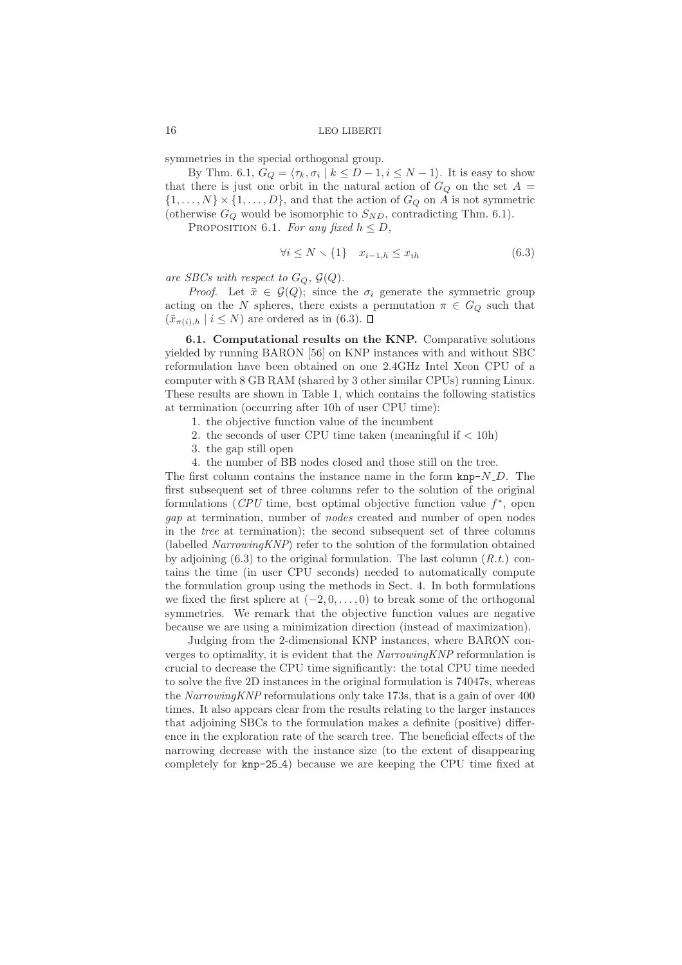symmetries in the special orthogonal group.

By Thm. 6.1,  $G_Q = \langle \tau_k, \sigma_i \mid k \leq D-1, i \leq N-1 \rangle$ . It is easy to show that there is just one orbit in the natural action of  $G_Q$  on the set  $A =$  $\{1,\ldots,N\}\times\{1,\ldots,D\}$ , and that the action of  $G_Q$  on A is not symmetric (otherwise  $G_Q$  would be isomorphic to  $S_{ND}$ , contradicting Thm. 6.1).

PROPOSITION 6.1. For any fixed  $h \leq D$ ,

$$
\forall i \le N \setminus \{1\} \quad x_{i-1,h} \le x_{ih} \tag{6.3}
$$

*are SBCs with respect to*  $G_Q$ ,  $\mathcal{G}(Q)$ *.* 

*Proof.* Let  $\bar{x} \in \mathcal{G}(Q)$ ; since the  $\sigma_i$  generate the symmetric group acting on the N spheres, there exists a permutation  $\pi \in G_Q$  such that  $(\bar{x}_{\pi(i),h} \mid i \leq N)$  are ordered as in (6.3).  $\Box$ 

6.1. Computational results on the KNP. Comparative solutions yielded by running BARON [56] on KNP instances with and without SBC reformulation have been obtained on one 2.4GHz Intel Xeon CPU of a computer with 8 GB RAM (shared by 3 other similar CPUs) running Linux. These results are shown in Table 1, which contains the following statistics at termination (occurring after 10h of user CPU time):

- 1. the objective function value of the incumbent
- 2. the seconds of user CPU time taken (meaningful if  $< 10h$ )
- 3. the gap still open
- 4. the number of BB nodes closed and those still on the tree.

The first column contains the instance name in the form  $\text{kmp-}N\_D$ . The first subsequent set of three columns refer to the solution of the original formulations  $(CPU$  time, best optimal objective function value  $f^*$ , open *gap* at termination, number of *nodes* created and number of open nodes in the *tree* at termination); the second subsequent set of three columns (labelled *NarrowingKNP*) refer to the solution of the formulation obtained by adjoining (6.3) to the original formulation. The last column (*R.t.*) contains the time (in user CPU seconds) needed to automatically compute the formulation group using the methods in Sect. 4. In both formulations we fixed the first sphere at  $(-2, 0, \ldots, 0)$  to break some of the orthogonal symmetries. We remark that the objective function values are negative because we are using a minimization direction (instead of maximization).

Judging from the 2-dimensional KNP instances, where BARON converges to optimality, it is evident that the *NarrowingKNP* reformulation is crucial to decrease the CPU time significantly: the total CPU time needed to solve the five 2D instances in the original formulation is 74047s, whereas the *NarrowingKNP* reformulations only take 173s, that is a gain of over 400 times. It also appears clear from the results relating to the larger instances that adjoining SBCs to the formulation makes a definite (positive) difference in the exploration rate of the search tree. The beneficial effects of the narrowing decrease with the instance size (to the extent of disappearing completely for knp-25 4) because we are keeping the CPU time fixed at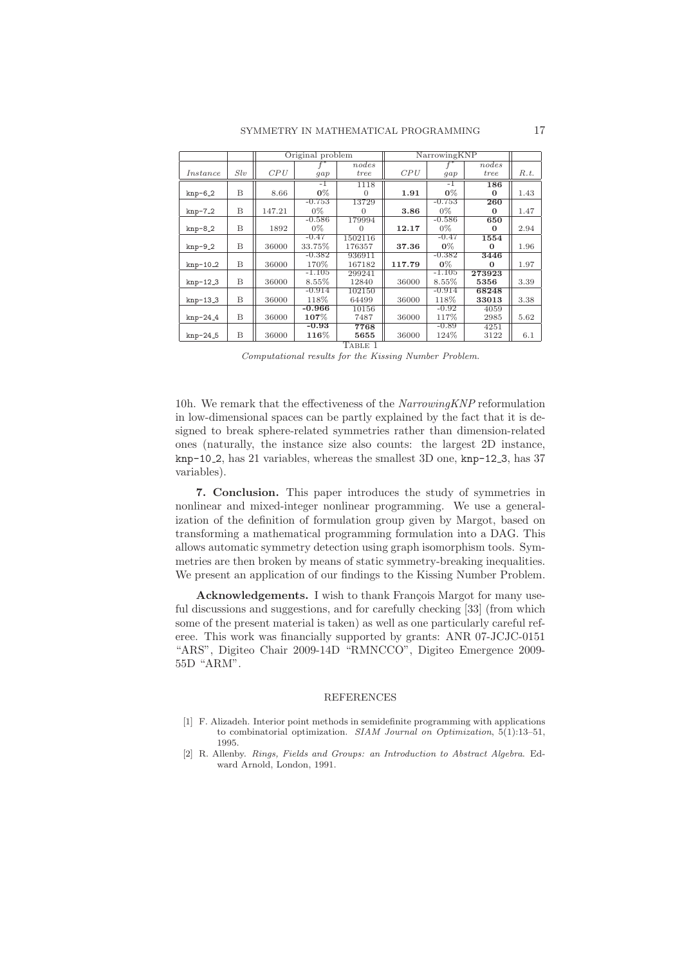|            |     | Original problem |          |          | NarrowingKNP |          |          |      |
|------------|-----|------------------|----------|----------|--------------|----------|----------|------|
|            |     |                  | $f^*$    | nodes    |              | $f^*$    | nodes    |      |
| Instance   | Slv | CPU              | gap      | tree     | CPU          | gap      | tree     | R.t. |
|            |     |                  | -1       | 1118     |              | $-1$     | 186      |      |
| $knp-6_2$  | B   | 8.66             | $0\%$    | $\Omega$ | 1.91         | $0\%$    | $\Omega$ | 1.43 |
|            |     |                  | $-0.753$ | 13729    |              | $-0.753$ | 260      |      |
| $knp-7-2$  | B   | 147.21           | $0\%$    | 0        | 3.86         | $0\%$    | $\Omega$ | 1.47 |
|            |     |                  | $-0.586$ | 179994   |              | $-0.586$ | 650      |      |
| $knp-8.2$  | B   | 1892             | $0\%$    | $\Omega$ | 12.17        | $0\%$    | $\Omega$ | 2.94 |
|            |     |                  | $-0.47$  | 1502116  |              | $-0.47$  | 1554     |      |
| $knp-9.2$  | B   | 36000            | 33.75%   | 176357   | 37.36        | $0\%$    | $\Omega$ | 1.96 |
|            |     |                  | $-0.382$ | 936911   |              | $-0.382$ | 3446     |      |
| $knp-10_2$ | B   | 36000            | 170%     | 167182   | 117.79       | $0\%$    | $\Omega$ | 1.97 |
|            |     |                  | $-1.105$ | 299241   |              | $-1.105$ | 273923   |      |
| $knp-12.3$ | B   | 36000            | 8.55%    | 12840    | 36000        | 8.55%    | 5356     | 3.39 |
|            |     |                  | -0.914   | 102150   |              | $-0.914$ | 68248    |      |
| $knp-13.3$ | B   | 36000            | 118%     | 64499    | 36000        | 118%     | 33013    | 3.38 |
|            |     |                  | $-0.966$ | 10156    |              | $-0.92$  | 4059     |      |
| $knp-24_4$ | B   | 36000            | $107\%$  | 7487     | 36000        | 117%     | 2985     | 5.62 |
|            |     |                  | $-0.93$  | 7768     |              | $-0.89$  | 4251     |      |
| $knp-24.5$ | B   | 36000            | $116\%$  | 5655     | 36000        | 124%     | 3122     | 6.1  |
| TABLE 1    |     |                  |          |          |              |          |          |      |

*Computational results for the Kissing Number Problem.*

10h. We remark that the effectiveness of the *NarrowingKNP* reformulation in low-dimensional spaces can be partly explained by the fact that it is designed to break sphere-related symmetries rather than dimension-related ones (naturally, the instance size also counts: the largest 2D instance,  $\text{kmp-10.2}$ , has 21 variables, whereas the smallest 3D one,  $\text{kmp-12.3}$ , has 37 variables).

7. Conclusion. This paper introduces the study of symmetries in nonlinear and mixed-integer nonlinear programming. We use a generalization of the definition of formulation group given by Margot, based on transforming a mathematical programming formulation into a DAG. This allows automatic symmetry detection using graph isomorphism tools. Symmetries are then broken by means of static symmetry-breaking inequalities. We present an application of our findings to the Kissing Number Problem.

Acknowledgements. I wish to thank François Margot for many useful discussions and suggestions, and for carefully checking [33] (from which some of the present material is taken) as well as one particularly careful referee. This work was financially supported by grants: ANR 07-JCJC-0151 "ARS", Digiteo Chair 2009-14D "RMNCCO", Digiteo Emergence 2009- 55D "ARM".

#### REFERENCES

- [1] F. Alizadeh. Interior point methods in semidefinite programming with applications to combinatorial optimization. *SIAM Journal on Optimization*, 5(1):13–51, 1995.
- [2] R. Allenby. *Rings, Fields and Groups: an Introduction to Abstract Algebra*. Edward Arnold, London, 1991.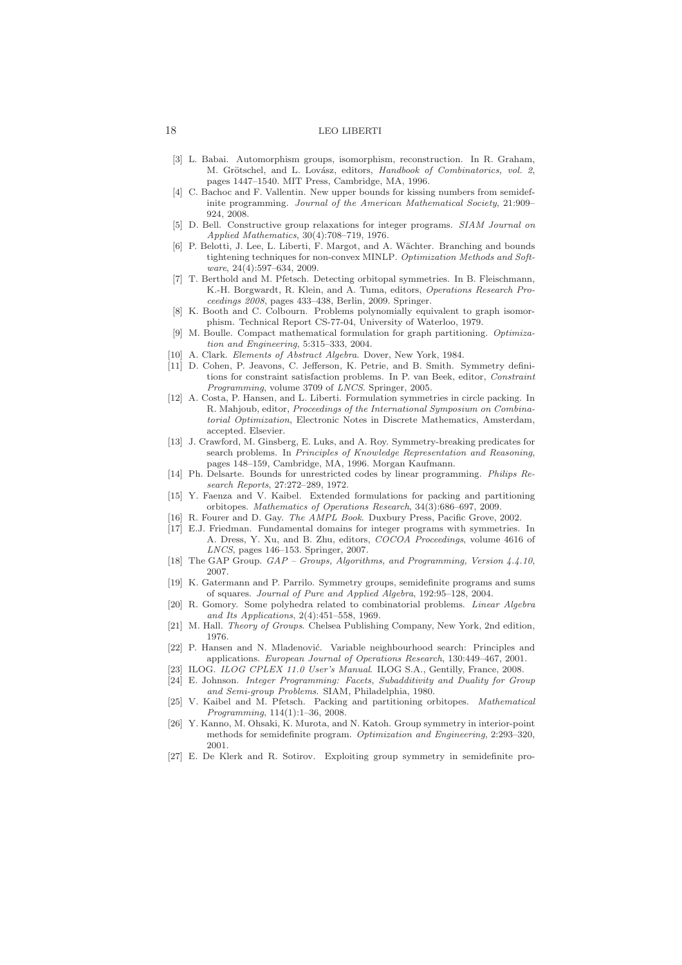- [3] L. Babai. Automorphism groups, isomorphism, reconstruction. In R. Graham, M. Grötschel, and L. Lovász, editors, *Handbook of Combinatorics*, vol. 2, pages 1447–1540. MIT Press, Cambridge, MA, 1996.
- [4] C. Bachoc and F. Vallentin. New upper bounds for kissing numbers from semidefinite programming. *Journal of the American Mathematical Society*, 21:909– 924, 2008.
- [5] D. Bell. Constructive group relaxations for integer programs. *SIAM Journal on Applied Mathematics*, 30(4):708–719, 1976.
- [6] P. Belotti, J. Lee, L. Liberti, F. Margot, and A. Wächter. Branching and bounds tightening techniques for non-convex MINLP. *Optimization Methods and Software*, 24(4):597–634, 2009.
- [7] T. Berthold and M. Pfetsch. Detecting orbitopal symmetries. In B. Fleischmann, K.-H. Borgwardt, R. Klein, and A. Tuma, editors, *Operations Research Proceedings 2008*, pages 433–438, Berlin, 2009. Springer.
- [8] K. Booth and C. Colbourn. Problems polynomially equivalent to graph isomorphism. Technical Report CS-77-04, University of Waterloo, 1979.
- [9] M. Boulle. Compact mathematical formulation for graph partitioning. *Optimization and Engineering*, 5:315–333, 2004.
- [10] A. Clark. *Elements of Abstract Algebra*. Dover, New York, 1984.
- [11] D. Cohen, P. Jeavons, C. Jefferson, K. Petrie, and B. Smith. Symmetry definitions for constraint satisfaction problems. In P. van Beek, editor, *Constraint Programming*, volume 3709 of *LNCS*. Springer, 2005.
- [12] A. Costa, P. Hansen, and L. Liberti. Formulation symmetries in circle packing. In R. Mahjoub, editor, *Proceedings of the International Symposium on Combinatorial Optimization*, Electronic Notes in Discrete Mathematics, Amsterdam, accepted. Elsevier.
- [13] J. Crawford, M. Ginsberg, E. Luks, and A. Roy. Symmetry-breaking predicates for search problems. In *Principles of Knowledge Representation and Reasoning*, pages 148–159, Cambridge, MA, 1996. Morgan Kaufmann.
- [14] Ph. Delsarte. Bounds for unrestricted codes by linear programming. *Philips Research Reports*, 27:272–289, 1972.
- [15] Y. Faenza and V. Kaibel. Extended formulations for packing and partitioning orbitopes. *Mathematics of Operations Research*, 34(3):686–697, 2009.
- [16] R. Fourer and D. Gay. *The AMPL Book*. Duxbury Press, Pacific Grove, 2002.
- [17] E.J. Friedman. Fundamental domains for integer programs with symmetries. In A. Dress, Y. Xu, and B. Zhu, editors, *COCOA Proceedings*, volume 4616 of *LNCS*, pages 146–153. Springer, 2007.
- [18] The GAP Group. *GAP Groups, Algorithms, and Programming, Version 4.4.10*, 2007.
- [19] K. Gatermann and P. Parrilo. Symmetry groups, semidefinite programs and sums of squares. *Journal of Pure and Applied Algebra*, 192:95–128, 2004.
- [20] R. Gomory. Some polyhedra related to combinatorial problems. *Linear Algebra and Its Applications*, 2(4):451–558, 1969.
- [21] M. Hall. *Theory of Groups*. Chelsea Publishing Company, New York, 2nd edition, 1976.
- [22] P. Hansen and N. Mladenović. Variable neighbourhood search: Principles and applications. *European Journal of Operations Research*, 130:449–467, 2001.
- [23] ILOG. *ILOG CPLEX 11.0 User's Manual*. ILOG S.A., Gentilly, France, 2008.
- [24] E. Johnson. *Integer Programming: Facets, Subadditivity and Duality for Group and Semi-group Problems*. SIAM, Philadelphia, 1980.
- [25] V. Kaibel and M. Pfetsch. Packing and partitioning orbitopes. *Mathematical Programming*, 114(1):1–36, 2008.
- [26] Y. Kanno, M. Ohsaki, K. Murota, and N. Katoh. Group symmetry in interior-point methods for semidefinite program. *Optimization and Engineering*, 2:293–320, 2001.
- [27] E. De Klerk and R. Sotirov. Exploiting group symmetry in semidefinite pro-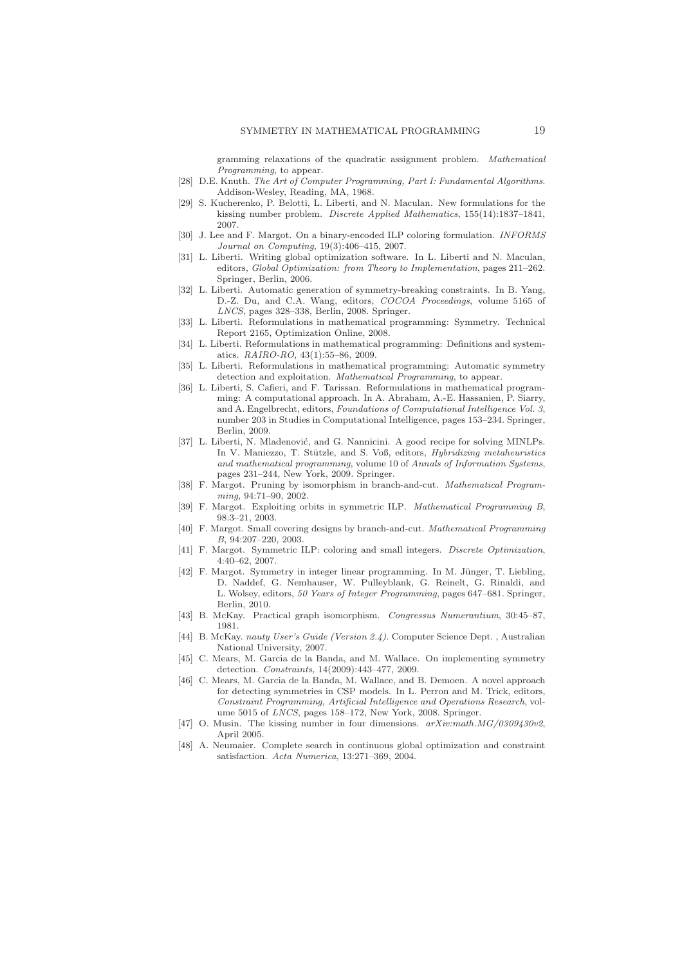gramming relaxations of the quadratic assignment problem. *Mathematical Programming*, to appear.

- [28] D.E. Knuth. *The Art of Computer Programming, Part I: Fundamental Algorithms*. Addison-Wesley, Reading, MA, 1968.
- [29] S. Kucherenko, P. Belotti, L. Liberti, and N. Maculan. New formulations for the kissing number problem. *Discrete Applied Mathematics*, 155(14):1837–1841, 2007.
- [30] J. Lee and F. Margot. On a binary-encoded ILP coloring formulation. *INFORMS Journal on Computing*, 19(3):406–415, 2007.
- [31] L. Liberti. Writing global optimization software. In L. Liberti and N. Maculan, editors, *Global Optimization: from Theory to Implementation*, pages 211–262. Springer, Berlin, 2006.
- [32] L. Liberti. Automatic generation of symmetry-breaking constraints. In B. Yang, D.-Z. Du, and C.A. Wang, editors, *COCOA Proceedings*, volume 5165 of *LNCS*, pages 328–338, Berlin, 2008. Springer.
- [33] L. Liberti. Reformulations in mathematical programming: Symmetry. Technical Report 2165, Optimization Online, 2008.
- [34] L. Liberti. Reformulations in mathematical programming: Definitions and systematics. *RAIRO-RO*, 43(1):55–86, 2009.
- [35] L. Liberti. Reformulations in mathematical programming: Automatic symmetry detection and exploitation. *Mathematical Programming*, to appear.
- [36] L. Liberti, S. Cafieri, and F. Tarissan. Reformulations in mathematical programming: A computational approach. In A. Abraham, A.-E. Hassanien, P. Siarry, and A. Engelbrecht, editors, *Foundations of Computational Intelligence Vol. 3*, number 203 in Studies in Computational Intelligence, pages 153–234. Springer, Berlin, 2009.
- [37] L. Liberti, N. Mladenović, and G. Nannicini. A good recipe for solving MINLPs. In V. Maniezzo, T. Stützle, and S. Voß, editors, *Hybridizing metaheuristics and mathematical programming*, volume 10 of *Annals of Information Systems*, pages 231–244, New York, 2009. Springer.
- [38] F. Margot. Pruning by isomorphism in branch-and-cut. *Mathematical Programming*, 94:71–90, 2002.
- [39] F. Margot. Exploiting orbits in symmetric ILP. *Mathematical Programming B*, 98:3–21, 2003.
- [40] F. Margot. Small covering designs by branch-and-cut. *Mathematical Programming B*, 94:207–220, 2003.
- [41] F. Margot. Symmetric ILP: coloring and small integers. *Discrete Optimization*, 4:40–62, 2007.
- [42] F. Margot. Symmetry in integer linear programming. In M. Jünger, T. Liebling, D. Naddef, G. Nemhauser, W. Pulleyblank, G. Reinelt, G. Rinaldi, and L. Wolsey, editors, *50 Years of Integer Programming*, pages 647–681. Springer, Berlin, 2010.
- [43] B. McKay. Practical graph isomorphism. *Congressus Numerantium*, 30:45–87, 1981.
- [44] B. McKay. *nauty User's Guide (Version 2.4)*. Computer Science Dept. , Australian National University, 2007.
- [45] C. Mears, M. Garcia de la Banda, and M. Wallace. On implementing symmetry detection. *Constraints*, 14(2009):443–477, 2009.
- [46] C. Mears, M. Garcia de la Banda, M. Wallace, and B. Demoen. A novel approach for detecting symmetries in CSP models. In L. Perron and M. Trick, editors, *Constraint Programming, Artificial Intelligence and Operations Research*, volume 5015 of *LNCS*, pages 158–172, New York, 2008. Springer.
- [47] O. Musin. The kissing number in four dimensions. *arXiv:math.MG/0309430v2*, April 2005.
- [48] A. Neumaier. Complete search in continuous global optimization and constraint satisfaction. *Acta Numerica*, 13:271–369, 2004.